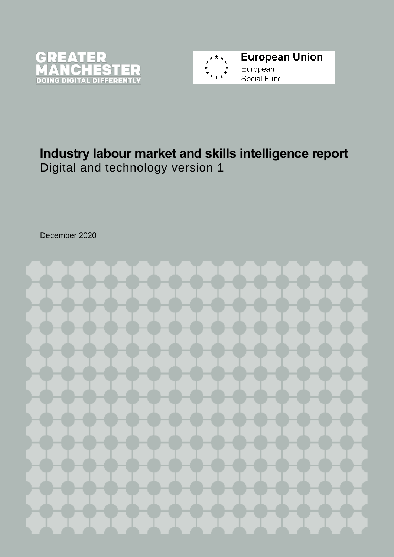



# **Industry labour market and skills intelligence report** Digital and technology version 1

December 2020

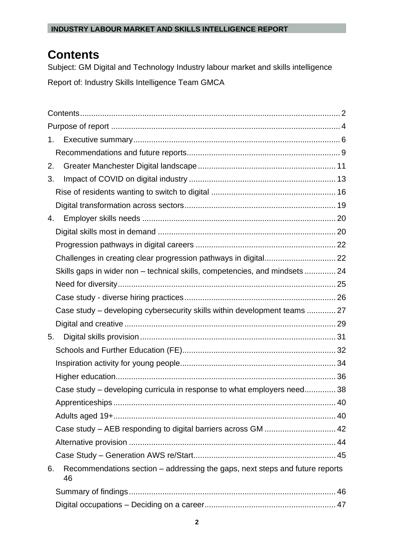# <span id="page-1-0"></span>**Contents**

Subject: GM Digital and Technology Industry labour market and skills intelligence Report of: Industry Skills Intelligence Team GMCA

| 2. |                                                                                    |  |
|----|------------------------------------------------------------------------------------|--|
| 3. |                                                                                    |  |
|    |                                                                                    |  |
|    |                                                                                    |  |
| 4. |                                                                                    |  |
|    |                                                                                    |  |
|    |                                                                                    |  |
|    |                                                                                    |  |
|    | Skills gaps in wider non – technical skills, competencies, and mindsets  24        |  |
|    |                                                                                    |  |
|    |                                                                                    |  |
|    | Case study – developing cybersecurity skills within development teams  27          |  |
|    |                                                                                    |  |
| 5. |                                                                                    |  |
|    |                                                                                    |  |
|    |                                                                                    |  |
|    |                                                                                    |  |
|    | Case study – developing curricula in response to what employers need38             |  |
|    |                                                                                    |  |
|    |                                                                                    |  |
|    | Case study - AEB responding to digital barriers across GM  42                      |  |
|    |                                                                                    |  |
|    |                                                                                    |  |
| 6. | Recommendations section - addressing the gaps, next steps and future reports<br>46 |  |
|    |                                                                                    |  |
|    |                                                                                    |  |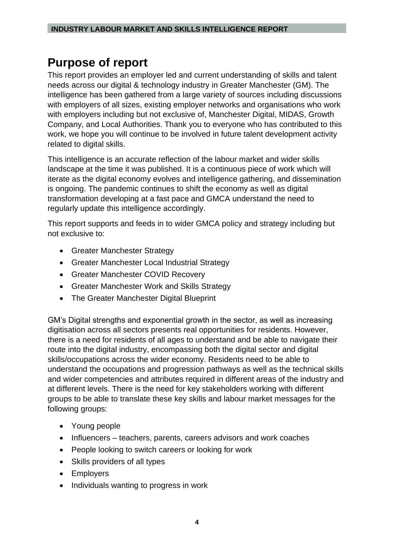# <span id="page-3-0"></span>**Purpose of report**

This report provides an employer led and current understanding of skills and talent needs across our digital & technology industry in Greater Manchester (GM). The intelligence has been gathered from a large variety of sources including discussions with employers of all sizes, existing employer networks and organisations who work with employers including but not exclusive of, Manchester Digital, MIDAS, Growth Company, and Local Authorities. Thank you to everyone who has contributed to this work, we hope you will continue to be involved in future talent development activity related to digital skills.

This intelligence is an accurate reflection of the labour market and wider skills landscape at the time it was published. It is a continuous piece of work which will iterate as the digital economy evolves and intelligence gathering, and dissemination is ongoing. The pandemic continues to shift the economy as well as digital transformation developing at a fast pace and GMCA understand the need to regularly update this intelligence accordingly.

This report supports and feeds in to wider GMCA policy and strategy including but not exclusive to:

- Greater Manchester Strategy
- Greater Manchester Local Industrial Strategy
- Greater Manchester COVID Recovery
- Greater Manchester Work and Skills Strategy
- The Greater Manchester Digital Blueprint

GM's Digital strengths and exponential growth in the sector, as well as increasing digitisation across all sectors presents real opportunities for residents. However, there is a need for residents of all ages to understand and be able to navigate their route into the digital industry, encompassing both the digital sector and digital skills/occupations across the wider economy. Residents need to be able to understand the occupations and progression pathways as well as the technical skills and wider competencies and attributes required in different areas of the industry and at different levels. There is the need for key stakeholders working with different groups to be able to translate these key skills and labour market messages for the following groups:

- Young people
- Influencers teachers, parents, careers advisors and work coaches
- People looking to switch careers or looking for work
- Skills providers of all types
- Employers
- Individuals wanting to progress in work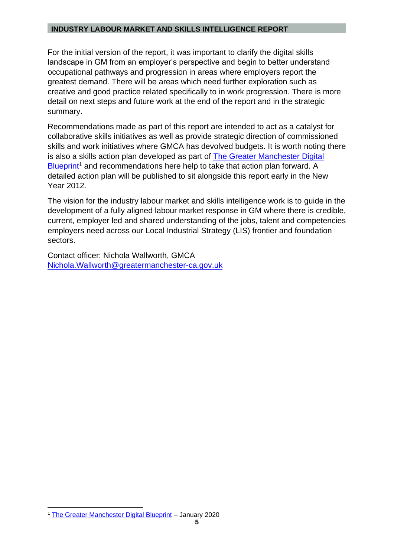For the initial version of the report, it was important to clarify the digital skills landscape in GM from an employer's perspective and begin to better understand occupational pathways and progression in areas where employers report the greatest demand. There will be areas which need further exploration such as creative and good practice related specifically to in work progression. There is more detail on next steps and future work at the end of the report and in the strategic summary.

Recommendations made as part of this report are intended to act as a catalyst for collaborative skills initiatives as well as provide strategic direction of commissioned skills and work initiatives where GMCA has devolved budgets. It is worth noting there is also a skills action plan developed as part of [The Greater Manchester Digital](https://greatermanchester-ca.gov.uk/media/2638/gmca_blueprint_03_feb_downloadable-website-pdf.pdf)  [Blueprint](https://greatermanchester-ca.gov.uk/media/2638/gmca_blueprint_03_feb_downloadable-website-pdf.pdf)<sup>1</sup> and recommendations here help to take that action plan forward. A detailed action plan will be published to sit alongside this report early in the New Year 2012.

The vision for the industry labour market and skills intelligence work is to guide in the development of a fully aligned labour market response in GM where there is credible, current, employer led and shared understanding of the jobs, talent and competencies employers need across our Local Industrial Strategy (LIS) frontier and foundation sectors.

Contact officer: Nichola Wallworth, GMCA [Nichola.Wallworth@greatermanchester-ca.gov.uk](mailto:Nichola.Wallworth@greatermanchester-ca.gov.uk)

<sup>1</sup> [The Greater Manchester Digital Blueprint](https://democracy.greatermanchester-ca.gov.uk/documents/s5315/7a%20GMCA_Blueprint_22_Jan%202020_FINAL.pdf) – January 2020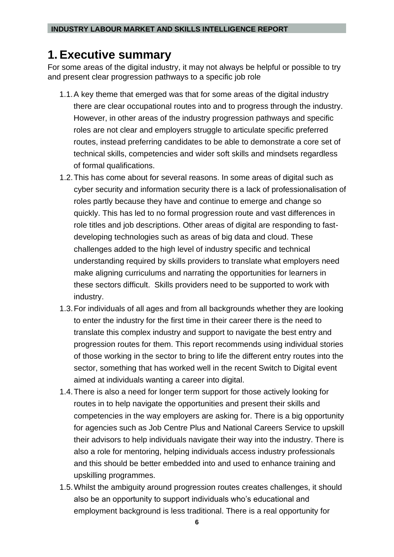# <span id="page-5-0"></span>**1. Executive summary**

For some areas of the digital industry, it may not always be helpful or possible to try and present clear progression pathways to a specific job role

- 1.1.A key theme that emerged was that for some areas of the digital industry there are clear occupational routes into and to progress through the industry. However, in other areas of the industry progression pathways and specific roles are not clear and employers struggle to articulate specific preferred routes, instead preferring candidates to be able to demonstrate a core set of technical skills, competencies and wider soft skills and mindsets regardless of formal qualifications.
- 1.2.This has come about for several reasons. In some areas of digital such as cyber security and information security there is a lack of professionalisation of roles partly because they have and continue to emerge and change so quickly. This has led to no formal progression route and vast differences in role titles and job descriptions. Other areas of digital are responding to fastdeveloping technologies such as areas of big data and cloud. These challenges added to the high level of industry specific and technical understanding required by skills providers to translate what employers need make aligning curriculums and narrating the opportunities for learners in these sectors difficult. Skills providers need to be supported to work with industry.
- 1.3.For individuals of all ages and from all backgrounds whether they are looking to enter the industry for the first time in their career there is the need to translate this complex industry and support to navigate the best entry and progression routes for them. This report recommends using individual stories of those working in the sector to bring to life the different entry routes into the sector, something that has worked well in the recent Switch to Digital event aimed at individuals wanting a career into digital.
- 1.4.There is also a need for longer term support for those actively looking for routes in to help navigate the opportunities and present their skills and competencies in the way employers are asking for. There is a big opportunity for agencies such as Job Centre Plus and National Careers Service to upskill their advisors to help individuals navigate their way into the industry. There is also a role for mentoring, helping individuals access industry professionals and this should be better embedded into and used to enhance training and upskilling programmes.
- 1.5.Whilst the ambiguity around progression routes creates challenges, it should also be an opportunity to support individuals who's educational and employment background is less traditional. There is a real opportunity for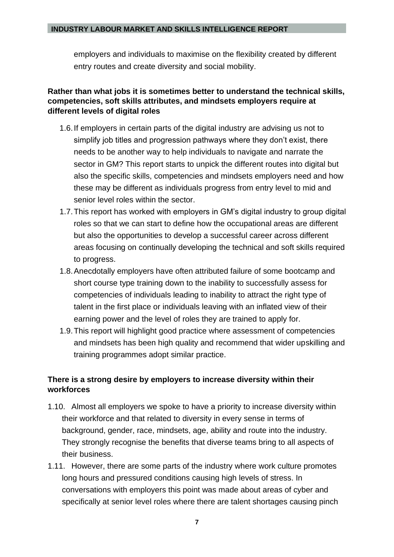employers and individuals to maximise on the flexibility created by different entry routes and create diversity and social mobility.

#### **Rather than what jobs it is sometimes better to understand the technical skills, competencies, soft skills attributes, and mindsets employers require at different levels of digital roles**

- 1.6.If employers in certain parts of the digital industry are advising us not to simplify job titles and progression pathways where they don't exist, there needs to be another way to help individuals to navigate and narrate the sector in GM? This report starts to unpick the different routes into digital but also the specific skills, competencies and mindsets employers need and how these may be different as individuals progress from entry level to mid and senior level roles within the sector.
- 1.7.This report has worked with employers in GM's digital industry to group digital roles so that we can start to define how the occupational areas are different but also the opportunities to develop a successful career across different areas focusing on continually developing the technical and soft skills required to progress.
- 1.8.Anecdotally employers have often attributed failure of some bootcamp and short course type training down to the inability to successfully assess for competencies of individuals leading to inability to attract the right type of talent in the first place or individuals leaving with an inflated view of their earning power and the level of roles they are trained to apply for.
- 1.9.This report will highlight good practice where assessment of competencies and mindsets has been high quality and recommend that wider upskilling and training programmes adopt similar practice.

### **There is a strong desire by employers to increase diversity within their workforces**

- 1.10. Almost all employers we spoke to have a priority to increase diversity within their workforce and that related to diversity in every sense in terms of background, gender, race, mindsets, age, ability and route into the industry. They strongly recognise the benefits that diverse teams bring to all aspects of their business.
- 1.11. However, there are some parts of the industry where work culture promotes long hours and pressured conditions causing high levels of stress. In conversations with employers this point was made about areas of cyber and specifically at senior level roles where there are talent shortages causing pinch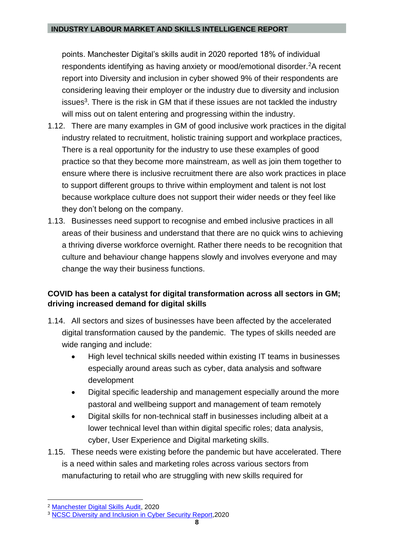points. Manchester Digital's skills audit in 2020 reported 18% of individual respondents identifying as having anxiety or mood/emotional disorder.<sup>2</sup>A recent report into Diversity and inclusion in cyber showed 9% of their respondents are considering leaving their employer or the industry due to diversity and inclusion issues<sup>3</sup>. There is the risk in GM that if these issues are not tackled the industry will miss out on talent entering and progressing within the industry.

- 1.12. There are many examples in GM of good inclusive work practices in the digital industry related to recruitment, holistic training support and workplace practices, There is a real opportunity for the industry to use these examples of good practice so that they become more mainstream, as well as join them together to ensure where there is inclusive recruitment there are also work practices in place to support different groups to thrive within employment and talent is not lost because workplace culture does not support their wider needs or they feel like they don't belong on the company.
- 1.13. Businesses need support to recognise and embed inclusive practices in all areas of their business and understand that there are no quick wins to achieving a thriving diverse workforce overnight. Rather there needs to be recognition that culture and behaviour change happens slowly and involves everyone and may change the way their business functions.

## **COVID has been a catalyst for digital transformation across all sectors in GM; driving increased demand for digital skills**

- 1.14. All sectors and sizes of businesses have been affected by the accelerated digital transformation caused by the pandemic. The types of skills needed are wide ranging and include:
	- High level technical skills needed within existing IT teams in businesses especially around areas such as cyber, data analysis and software development
	- Digital specific leadership and management especially around the more pastoral and wellbeing support and management of team remotely
	- Digital skills for non-technical staff in businesses including albeit at a lower technical level than within digital specific roles; data analysis, cyber, User Experience and Digital marketing skills.
- 1.15. These needs were existing before the pandemic but have accelerated. There is a need within sales and marketing roles across various sectors from manufacturing to retail who are struggling with new skills required for

<sup>2</sup> [Manchester Digital Skills Audit,](https://www.manchesterdigital.com/post/manchester-digital/skills-audit-2020) 2020

<sup>&</sup>lt;sup>3</sup> [NCSC Diversity and Inclusion in Cyber Security Report,](https://www.ncsc.gov.uk/report/diversity-and-inclusion-in-cyber-security-report) 2020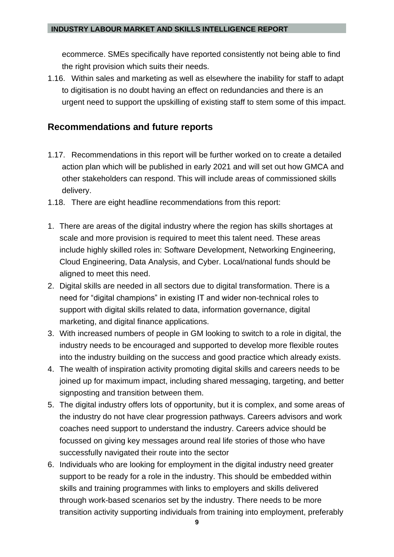ecommerce. SMEs specifically have reported consistently not being able to find the right provision which suits their needs.

1.16. Within sales and marketing as well as elsewhere the inability for staff to adapt to digitisation is no doubt having an effect on redundancies and there is an urgent need to support the upskilling of existing staff to stem some of this impact.

## <span id="page-8-0"></span>**Recommendations and future reports**

- 1.17. Recommendations in this report will be further worked on to create a detailed action plan which will be published in early 2021 and will set out how GMCA and other stakeholders can respond. This will include areas of commissioned skills delivery.
- 1.18. There are eight headline recommendations from this report:
- 1. There are areas of the digital industry where the region has skills shortages at scale and more provision is required to meet this talent need. These areas include highly skilled roles in: Software Development, Networking Engineering, Cloud Engineering, Data Analysis, and Cyber. Local/national funds should be aligned to meet this need.
- 2. Digital skills are needed in all sectors due to digital transformation. There is a need for "digital champions" in existing IT and wider non-technical roles to support with digital skills related to data, information governance, digital marketing, and digital finance applications.
- 3. With increased numbers of people in GM looking to switch to a role in digital, the industry needs to be encouraged and supported to develop more flexible routes into the industry building on the success and good practice which already exists.
- 4. The wealth of inspiration activity promoting digital skills and careers needs to be joined up for maximum impact, including shared messaging, targeting, and better signposting and transition between them.
- 5. The digital industry offers lots of opportunity, but it is complex, and some areas of the industry do not have clear progression pathways. Careers advisors and work coaches need support to understand the industry. Careers advice should be focussed on giving key messages around real life stories of those who have successfully navigated their route into the sector
- 6. Individuals who are looking for employment in the digital industry need greater support to be ready for a role in the industry. This should be embedded within skills and training programmes with links to employers and skills delivered through work-based scenarios set by the industry. There needs to be more transition activity supporting individuals from training into employment, preferably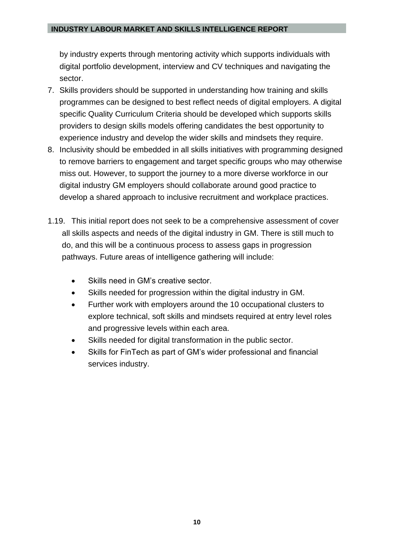by industry experts through mentoring activity which supports individuals with digital portfolio development, interview and CV techniques and navigating the sector.

- 7. Skills providers should be supported in understanding how training and skills programmes can be designed to best reflect needs of digital employers. A digital specific Quality Curriculum Criteria should be developed which supports skills providers to design skills models offering candidates the best opportunity to experience industry and develop the wider skills and mindsets they require.
- 8. Inclusivity should be embedded in all skills initiatives with programming designed to remove barriers to engagement and target specific groups who may otherwise miss out. However, to support the journey to a more diverse workforce in our digital industry GM employers should collaborate around good practice to develop a shared approach to inclusive recruitment and workplace practices.
- 1.19. This initial report does not seek to be a comprehensive assessment of cover all skills aspects and needs of the digital industry in GM. There is still much to do, and this will be a continuous process to assess gaps in progression pathways. Future areas of intelligence gathering will include:
	- Skills need in GM's creative sector.
	- Skills needed for progression within the digital industry in GM.
	- Further work with employers around the 10 occupational clusters to explore technical, soft skills and mindsets required at entry level roles and progressive levels within each area.
	- Skills needed for digital transformation in the public sector.
	- Skills for FinTech as part of GM's wider professional and financial services industry.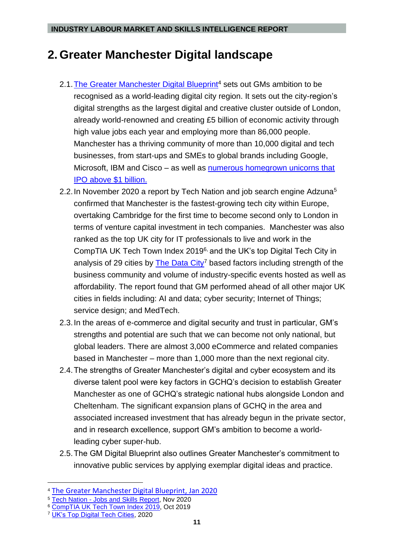# <span id="page-10-0"></span>**2. Greater Manchester Digital landscape**

- 2.1. The Greater Manchester Digital Blueprint<sup>4</sup> sets out GMs ambition to be recognised as a world-leading digital city region. It sets out the city-region's digital strengths as the largest digital and creative cluster outside of London, already world-renowned and creating £5 billion of economic activity through high value jobs each year and employing more than 86,000 people. Manchester has a thriving community of more than 10,000 digital and tech businesses, from start-ups and SMEs to global brands including Google, Microsoft, IBM and Cisco – as well as [numerous homegrown unicorns that](https://www.investinmanchester.com/sectors/digital-and-technology/e-commerce)  [IPO above \\$1 billion.](https://www.investinmanchester.com/sectors/digital-and-technology/e-commerce)
- 2.2. In November 2020 a report by Tech Nation and job search engine Adzuna<sup>5</sup> confirmed that Manchester is the fastest-growing tech city within Europe, overtaking Cambridge for the first time to become second only to London in terms of venture capital investment in tech companies. Manchester was also ranked as the top UK city for IT professionals to live and work in the CompTIA UK Tech Town Index 2019<sup>6,</sup> and the UK's top Digital Tech City in analysis of 29 cities by [The Data City](https://www.thedatacity.com/wp-content/uploads/2020/03/UK_Top_Digital_Tech_Locations.pdf)<sup>7</sup> based factors including strength of the business community and volume of industry-specific events hosted as well as affordability. The report found that GM performed ahead of all other major UK cities in fields including: AI and data; cyber security; Internet of Things; service design; and MedTech.
- 2.3.In the areas of e-commerce and digital security and trust in particular, GM's strengths and potential are such that we can become not only national, but global leaders. There are almost 3,000 eCommerce and related companies based in Manchester – more than 1,000 more than the next regional city.
- 2.4.The strengths of Greater Manchester's digital and cyber ecosystem and its diverse talent pool were key factors in GCHQ's decision to establish Greater Manchester as one of GCHQ's strategic national hubs alongside London and Cheltenham. The significant expansion plans of GCHQ in the area and associated increased investment that has already begun in the private sector, and in research excellence, support GM's ambition to become a worldleading cyber super-hub.
- 2.5.The GM Digital Blueprint also outlines Greater Manchester's commitment to innovative public services by applying exemplar digital ideas and practice.

<sup>4</sup> [The Greater Manchester Digital Blueprint,](https://greatermanchester-ca.gov.uk/media/2638/gmca_blueprint_03_feb_downloadable-website-pdf.pdf) Jan 2020

<sup>5</sup> Tech Nation - [Jobs and Skills](https://technation.io/jobs-and-skills-report/) Report, Nov 2020

<sup>6</sup> CompTIA [UK Tech Town Index 2019,](https://certs.comptia.org/uk-tech-town-index-2019/) Oct 2019

<sup>7</sup> [UK's Top Digital Tech Cities,](https://www.thedatacity.com/uks-digital-tech-cities-report-2020/) 2020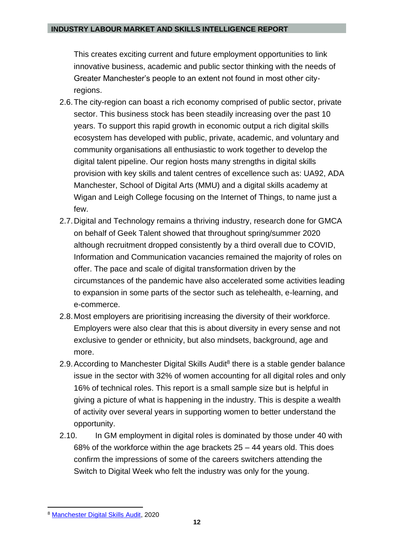This creates exciting current and future employment opportunities to link innovative business, academic and public sector thinking with the needs of Greater Manchester's people to an extent not found in most other cityregions.

- 2.6.The city-region can boast a rich economy comprised of public sector, private sector. This business stock has been steadily increasing over the past 10 years. To support this rapid growth in economic output a rich digital skills ecosystem has developed with public, private, academic, and voluntary and community organisations all enthusiastic to work together to develop the digital talent pipeline. Our region hosts many strengths in digital skills provision with key skills and talent centres of excellence such as: UA92, ADA Manchester, School of Digital Arts (MMU) and a digital skills academy at Wigan and Leigh College focusing on the Internet of Things, to name just a few.
- 2.7.Digital and Technology remains a thriving industry, research done for GMCA on behalf of Geek Talent showed that throughout spring/summer 2020 although recruitment dropped consistently by a third overall due to COVID, Information and Communication vacancies remained the majority of roles on offer. The pace and scale of digital transformation driven by the circumstances of the pandemic have also accelerated some activities leading to expansion in some parts of the sector such as telehealth, e-learning, and e-commerce.
- 2.8.Most employers are prioritising increasing the diversity of their workforce. Employers were also clear that this is about diversity in every sense and not exclusive to gender or ethnicity, but also mindsets, background, age and more.
- 2.9. According to Manchester Digital Skills Audit<sup>8</sup> there is a stable gender balance issue in the sector with 32% of women accounting for all digital roles and only 16% of technical roles. This report is a small sample size but is helpful in giving a picture of what is happening in the industry. This is despite a wealth of activity over several years in supporting women to better understand the opportunity.
- 2.10. In GM employment in digital roles is dominated by those under 40 with 68% of the workforce within the age brackets 25 – 44 years old. This does confirm the impressions of some of the careers switchers attending the Switch to Digital Week who felt the industry was only for the young.

<sup>8</sup> [Manchester Digital Skills Audit,](https://www.manchesterdigital.com/post/manchester-digital/skills-audit-2020) 2020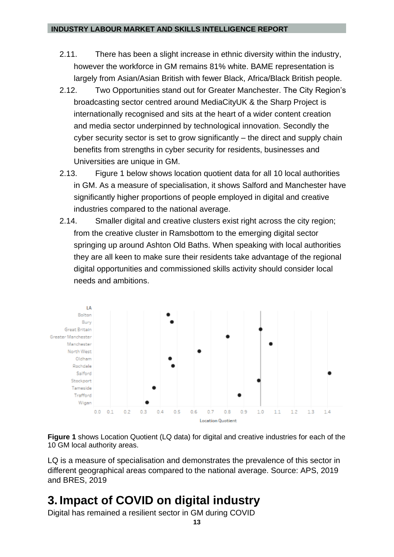- 2.11. There has been a slight increase in ethnic diversity within the industry, however the workforce in GM remains 81% white. BAME representation is largely from Asian/Asian British with fewer Black, Africa/Black British people.
- 2.12. Two Opportunities stand out for Greater Manchester. The City Region's broadcasting sector centred around MediaCityUK & the Sharp Project is internationally recognised and sits at the heart of a wider content creation and media sector underpinned by technological innovation. Secondly the cyber security sector is set to grow significantly – the direct and supply chain benefits from strengths in cyber security for residents, businesses and Universities are unique in GM.
- 2.13. Figure 1 below shows location quotient data for all 10 local authorities in GM. As a measure of specialisation, it shows Salford and Manchester have significantly higher proportions of people employed in digital and creative industries compared to the national average.
- 2.14. Smaller digital and creative clusters exist right across the city region: from the creative cluster in Ramsbottom to the emerging digital sector springing up around Ashton Old Baths. When speaking with local authorities they are all keen to make sure their residents take advantage of the regional digital opportunities and commissioned skills activity should consider local needs and ambitions.



**Figure 1** shows Location Quotient (LQ data) for digital and creative industries for each of the 10 GM local authority areas.

LQ is a measure of specialisation and demonstrates the prevalence of this sector in different geographical areas compared to the national average. Source: APS, 2019 and BRES, 2019

# <span id="page-12-0"></span>**3. Impact of COVID on digital industry**

Digital has remained a resilient sector in GM during COVID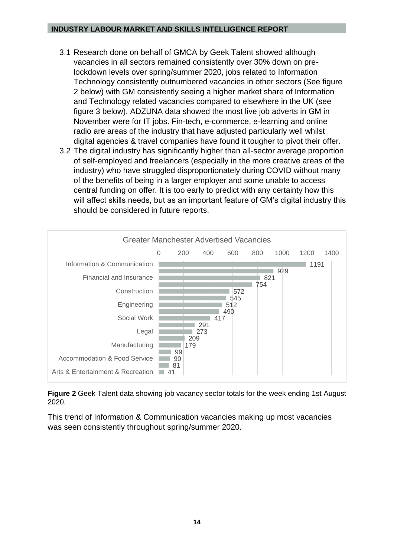- 3.1 Research done on behalf of GMCA by Geek Talent showed although vacancies in all sectors remained consistently over 30% down on prelockdown levels over spring/summer 2020, jobs related to Information Technology consistently outnumbered vacancies in other sectors (See figure 2 below) with GM consistently seeing a higher market share of Information and Technology related vacancies compared to elsewhere in the UK (see figure 3 below). ADZUNA data showed the most live job adverts in GM in November were for IT jobs. Fin-tech, e-commerce, e-learning and online radio are areas of the industry that have adjusted particularly well whilst digital agencies & travel companies have found it tougher to pivot their offer.
- 3.2 The digital industry has significantly higher than all-sector average proportion of self-employed and freelancers (especially in the more creative areas of the industry) who have struggled disproportionately during COVID without many of the benefits of being in a larger employer and some unable to access central funding on offer. It is too early to predict with any certainty how this will affect skills needs, but as an important feature of GM's digital industry this should be considered in future reports.



**Figure 2** Geek Talent data showing job vacancy sector totals for the week ending 1st August 2020.

This trend of Information & Communication vacancies making up most vacancies was seen consistently throughout spring/summer 2020.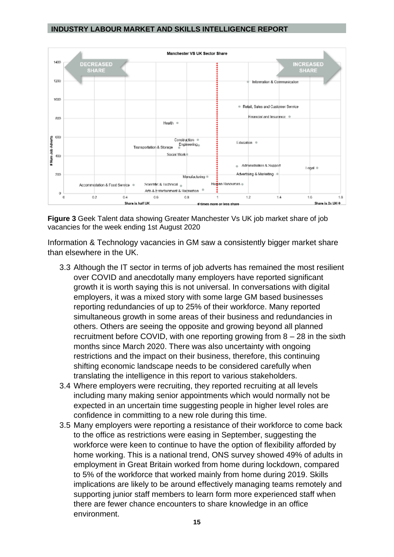

**Figure 3** Geek Talent data showing Greater Manchester Vs UK job market share of job vacancies for the week ending 1st August 2020

Information & Technology vacancies in GM saw a consistently bigger market share than elsewhere in the UK.

- 3.3 Although the IT sector in terms of job adverts has remained the most resilient over COVID and anecdotally many employers have reported significant growth it is worth saying this is not universal. In conversations with digital employers, it was a mixed story with some large GM based businesses reporting redundancies of up to 25% of their workforce. Many reported simultaneous growth in some areas of their business and redundancies in others. Others are seeing the opposite and growing beyond all planned recruitment before COVID, with one reporting growing from 8 – 28 in the sixth months since March 2020. There was also uncertainty with ongoing restrictions and the impact on their business, therefore, this continuing shifting economic landscape needs to be considered carefully when translating the intelligence in this report to various stakeholders.
- 3.4 Where employers were recruiting, they reported recruiting at all levels including many making senior appointments which would normally not be expected in an uncertain time suggesting people in higher level roles are confidence in committing to a new role during this time.
- 3.5 Many employers were reporting a resistance of their workforce to come back to the office as restrictions were easing in September, suggesting the workforce were keen to continue to have the option of flexibility afforded by home working. This is a national trend, ONS survey showed 49% of adults in employment in Great Britain worked from home during lockdown, compared to 5% of the workforce that worked mainly from home during 2019. Skills implications are likely to be around effectively managing teams remotely and supporting junior staff members to learn form more experienced staff when there are fewer chance encounters to share knowledge in an office environment.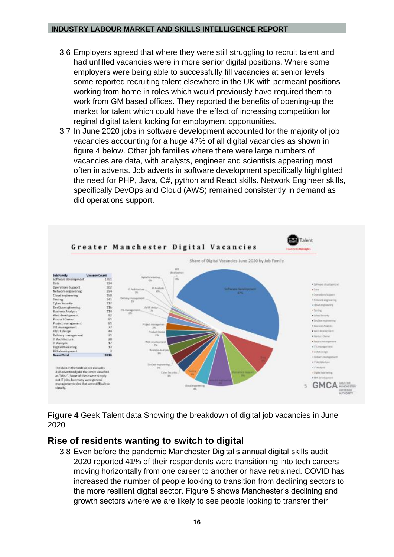- 3.6 Employers agreed that where they were still struggling to recruit talent and had unfilled vacancies were in more senior digital positions. Where some employers were being able to successfully fill vacancies at senior levels some reported recruiting talent elsewhere in the UK with permeant positions working from home in roles which would previously have required them to work from GM based offices. They reported the benefits of opening-up the market for talent which could have the effect of increasing competition for reginal digital talent looking for employment opportunities.
- 3.7 In June 2020 jobs in software development accounted for the majority of job vacancies accounting for a huge 47% of all digital vacancies as shown in figure 4 below. Other job families where there were large numbers of vacancies are data, with analysts, engineer and scientists appearing most often in adverts. Job adverts in software development specifically highlighted the need for PHP, Java, C#, python and React skills. Network Engineer skills, specifically DevOps and Cloud (AWS) remained consistently in demand as did operations support.



**Figure 4** Geek Talent data Showing the breakdown of digital job vacancies in June 2020

## <span id="page-15-0"></span>**Rise of residents wanting to switch to digital**

3.8 Even before the pandemic Manchester Digital's annual digital skills audit 2020 reported 41% of their respondents were transitioning into tech careers moving horizontally from one career to another or have retrained. COVID has increased the number of people looking to transition from declining sectors to the more resilient digital sector. Figure 5 shows Manchester's declining and growth sectors where we are likely to see people looking to transfer their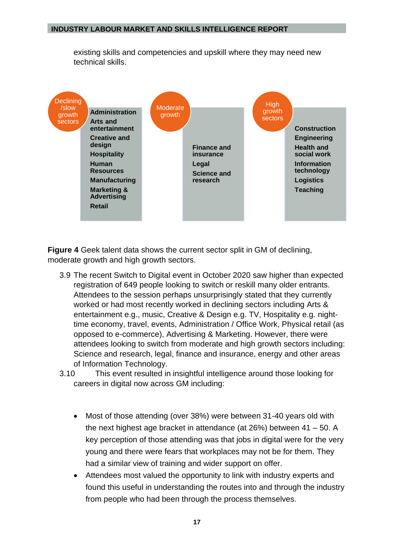existing skills and competencies and upskill where they may need new technical skills.



**Figure 4** Geek talent data shows the current sector split in GM of declining, moderate growth and high growth sectors.

- 3.9 The recent Switch to Digital event in October 2020 saw higher than expected registration of 649 people looking to switch or reskill many older entrants. Attendees to the session perhaps unsurprisingly stated that they currently worked or had most recently worked in declining sectors including Arts & entertainment e.g., music, Creative & Design e.g. TV, Hospitality e.g. nighttime economy, travel, events, Administration / Office Work, Physical retail (as opposed to e-commerce), Advertising & Marketing. However, there were attendees looking to switch from moderate and high growth sectors including: Science and research, legal, finance and insurance, energy and other areas of Information Technology.
- 3.10 This event resulted in insightful intelligence around those looking for careers in digital now across GM including:
	- Most of those attending (over 38%) were between 31-40 years old with the next highest age bracket in attendance (at 26%) between 41 – 50. A key perception of those attending was that jobs in digital were for the very young and there were fears that workplaces may not be for them. They had a similar view of training and wider support on offer.
	- Attendees most valued the opportunity to link with industry experts and found this useful in understanding the routes into and through the industry from people who had been through the process themselves.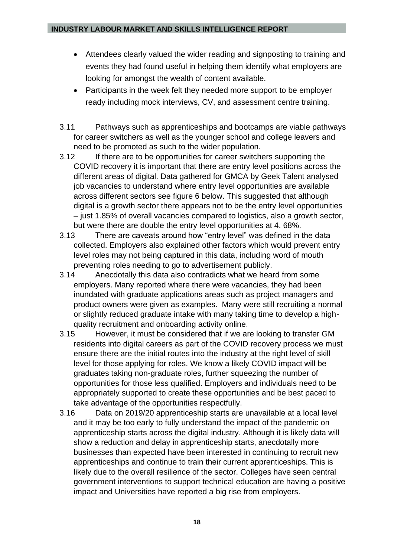- Attendees clearly valued the wider reading and signposting to training and events they had found useful in helping them identify what employers are looking for amongst the wealth of content available.
- Participants in the week felt they needed more support to be employer ready including mock interviews, CV, and assessment centre training.
- 3.11 Pathways such as apprenticeships and bootcamps are viable pathways for career switchers as well as the younger school and college leavers and need to be promoted as such to the wider population.
- 3.12 If there are to be opportunities for career switchers supporting the COVID recovery it is important that there are entry level positions across the different areas of digital. Data gathered for GMCA by Geek Talent analysed job vacancies to understand where entry level opportunities are available across different sectors see figure 6 below. This suggested that although digital is a growth sector there appears not to be the entry level opportunities – just 1.85% of overall vacancies compared to logistics, also a growth sector, but were there are double the entry level opportunities at 4. 68%.
- 3.13 There are caveats around how "entry level" was defined in the data collected. Employers also explained other factors which would prevent entry level roles may not being captured in this data, including word of mouth preventing roles needing to go to advertisement publicly.
- 3.14 Anecdotally this data also contradicts what we heard from some employers. Many reported where there were vacancies, they had been inundated with graduate applications areas such as project managers and product owners were given as examples. Many were still recruiting a normal or slightly reduced graduate intake with many taking time to develop a highquality recruitment and onboarding activity online.
- 3.15 However, it must be considered that if we are looking to transfer GM residents into digital careers as part of the COVID recovery process we must ensure there are the initial routes into the industry at the right level of skill level for those applying for roles. We know a likely COVID impact will be graduates taking non-graduate roles, further squeezing the number of opportunities for those less qualified. Employers and individuals need to be appropriately supported to create these opportunities and be best paced to take advantage of the opportunities respectfully.
- 3.16 Data on 2019/20 apprenticeship starts are unavailable at a local level and it may be too early to fully understand the impact of the pandemic on apprenticeship starts across the digital industry. Although it is likely data will show a reduction and delay in apprenticeship starts, anecdotally more businesses than expected have been interested in continuing to recruit new apprenticeships and continue to train their current apprenticeships. This is likely due to the overall resilience of the sector. Colleges have seen central government interventions to support technical education are having a positive impact and Universities have reported a big rise from employers.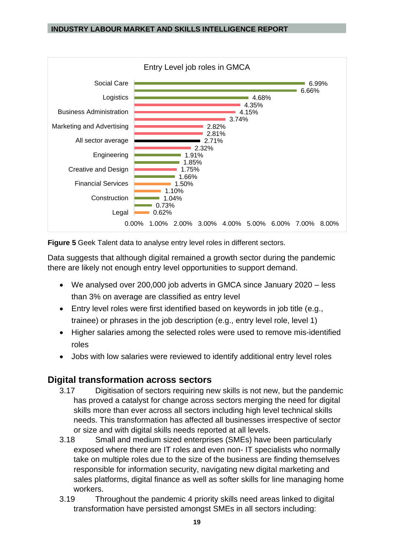



Data suggests that although digital remained a growth sector during the pandemic there are likely not enough entry level opportunities to support demand.

- We analysed over 200,000 job adverts in GMCA since January 2020 less than 3% on average are classified as entry level
- Entry level roles were first identified based on keywords in job title (e.g., trainee) or phrases in the job description (e.g., entry level role, level 1)
- Higher salaries among the selected roles were used to remove mis-identified roles
- Jobs with low salaries were reviewed to identify additional entry level roles

## <span id="page-18-0"></span>**Digital transformation across sectors**

- 3.17 Digitisation of sectors requiring new skills is not new, but the pandemic has proved a catalyst for change across sectors merging the need for digital skills more than ever across all sectors including high level technical skills needs. This transformation has affected all businesses irrespective of sector or size and with digital skills needs reported at all levels.
- 3.18 Small and medium sized enterprises (SMEs) have been particularly exposed where there are IT roles and even non- IT specialists who normally take on multiple roles due to the size of the business are finding themselves responsible for information security, navigating new digital marketing and sales platforms, digital finance as well as softer skills for line managing home workers.
- 3.19 Throughout the pandemic 4 priority skills need areas linked to digital transformation have persisted amongst SMEs in all sectors including: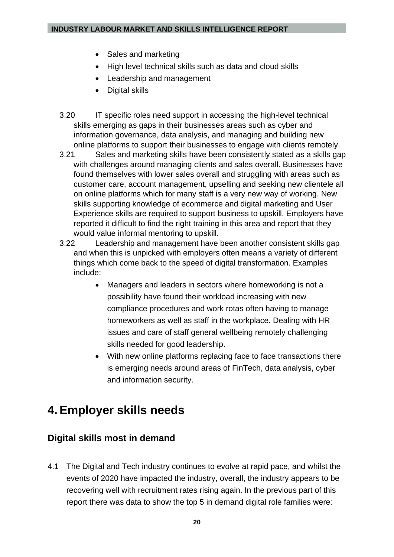- Sales and marketing
- High level technical skills such as data and cloud skills
- Leadership and management
- Digital skills
- 3.20 IT specific roles need support in accessing the high-level technical skills emerging as gaps in their businesses areas such as cyber and information governance, data analysis, and managing and building new online platforms to support their businesses to engage with clients remotely.
- 3.21 Sales and marketing skills have been consistently stated as a skills gap with challenges around managing clients and sales overall. Businesses have found themselves with lower sales overall and struggling with areas such as customer care, account management, upselling and seeking new clientele all on online platforms which for many staff is a very new way of working. New skills supporting knowledge of ecommerce and digital marketing and User Experience skills are required to support business to upskill. Employers have reported it difficult to find the right training in this area and report that they would value informal mentoring to upskill.
- 3.22 Leadership and management have been another consistent skills gap and when this is unpicked with employers often means a variety of different things which come back to the speed of digital transformation. Examples include:
	- Managers and leaders in sectors where homeworking is not a possibility have found their workload increasing with new compliance procedures and work rotas often having to manage homeworkers as well as staff in the workplace. Dealing with HR issues and care of staff general wellbeing remotely challenging skills needed for good leadership.
	- With new online platforms replacing face to face transactions there is emerging needs around areas of FinTech, data analysis, cyber and information security.

# <span id="page-19-0"></span>**4. Employer skills needs**

# <span id="page-19-1"></span>**Digital skills most in demand**

4.1 The Digital and Tech industry continues to evolve at rapid pace, and whilst the events of 2020 have impacted the industry, overall, the industry appears to be recovering well with recruitment rates rising again. In the previous part of this report there was data to show the top 5 in demand digital role families were: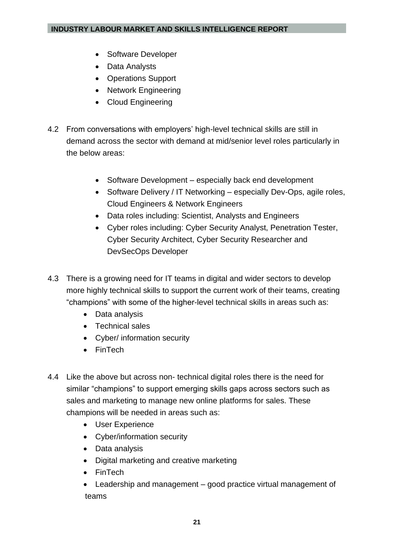- Software Developer
- Data Analysts
- Operations Support
- Network Engineering
- Cloud Engineering
- 4.2 From conversations with employers' high-level technical skills are still in demand across the sector with demand at mid/senior level roles particularly in the below areas:
	- Software Development especially back end development
	- Software Delivery / IT Networking especially Dev-Ops, agile roles, Cloud Engineers & Network Engineers
	- Data roles including: Scientist, Analysts and Engineers
	- Cyber roles including: Cyber Security Analyst, Penetration Tester, Cyber Security Architect, Cyber Security Researcher and DevSecOps Developer
- 4.3 There is a growing need for IT teams in digital and wider sectors to develop more highly technical skills to support the current work of their teams, creating "champions" with some of the higher-level technical skills in areas such as:
	- Data analysis
	- Technical sales
	- Cyber/ information security
	- FinTech
- 4.4 Like the above but across non- technical digital roles there is the need for similar "champions" to support emerging skills gaps across sectors such as sales and marketing to manage new online platforms for sales. These champions will be needed in areas such as:
	- User Experience
	- Cyber/information security
	- Data analysis
	- Digital marketing and creative marketing
	- FinTech
	- Leadership and management good practice virtual management of teams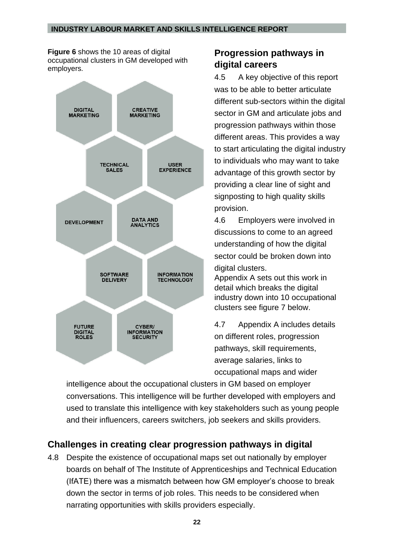**Figure 6** shows the 10 areas of digital occupational clusters in GM developed with employers.



# <span id="page-21-0"></span>**Progression pathways in digital careers**

4.5 A key objective of this report was to be able to better articulate different sub-sectors within the digital sector in GM and articulate jobs and progression pathways within those different areas. This provides a way to start articulating the digital industry to individuals who may want to take advantage of this growth sector by providing a clear line of sight and signposting to high quality skills provision.

4.6 Employers were involved in discussions to come to an agreed understanding of how the digital sector could be broken down into digital clusters.

Appendix A sets out this work in detail which breaks the digital industry down into 10 occupational clusters see figure 7 below.

4.7 Appendix A includes details on different roles, progression pathways, skill requirements, average salaries, links to occupational maps and wider

intelligence about the occupational clusters in GM based on employer conversations. This intelligence will be further developed with employers and used to translate this intelligence with key stakeholders such as young people and their influencers, careers switchers, job seekers and skills providers.

# <span id="page-21-1"></span>**Challenges in creating clear progression pathways in digital**

4.8 Despite the existence of occupational maps set out nationally by employer boards on behalf of The Institute of Apprenticeships and Technical Education (IfATE) there was a mismatch between how GM employer's choose to break down the sector in terms of job roles. This needs to be considered when narrating opportunities with skills providers especially.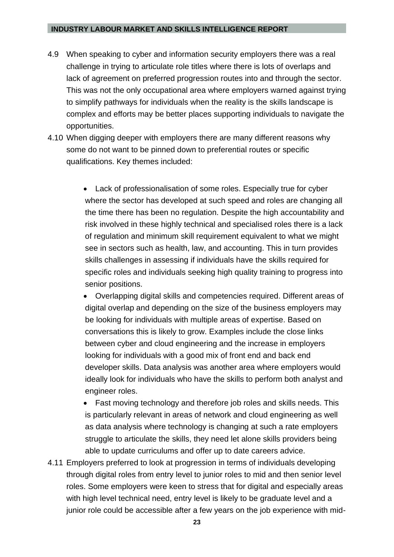- 4.9 When speaking to cyber and information security employers there was a real challenge in trying to articulate role titles where there is lots of overlaps and lack of agreement on preferred progression routes into and through the sector. This was not the only occupational area where employers warned against trying to simplify pathways for individuals when the reality is the skills landscape is complex and efforts may be better places supporting individuals to navigate the opportunities.
- 4.10 When digging deeper with employers there are many different reasons why some do not want to be pinned down to preferential routes or specific qualifications. Key themes included:
	- Lack of professionalisation of some roles. Especially true for cyber where the sector has developed at such speed and roles are changing all the time there has been no regulation. Despite the high accountability and risk involved in these highly technical and specialised roles there is a lack of regulation and minimum skill requirement equivalent to what we might see in sectors such as health, law, and accounting. This in turn provides skills challenges in assessing if individuals have the skills required for specific roles and individuals seeking high quality training to progress into senior positions.
	- Overlapping digital skills and competencies required. Different areas of digital overlap and depending on the size of the business employers may be looking for individuals with multiple areas of expertise. Based on conversations this is likely to grow. Examples include the close links between cyber and cloud engineering and the increase in employers looking for individuals with a good mix of front end and back end developer skills. Data analysis was another area where employers would ideally look for individuals who have the skills to perform both analyst and engineer roles.
	- Fast moving technology and therefore job roles and skills needs. This is particularly relevant in areas of network and cloud engineering as well as data analysis where technology is changing at such a rate employers struggle to articulate the skills, they need let alone skills providers being able to update curriculums and offer up to date careers advice.
- 4.11 Employers preferred to look at progression in terms of individuals developing through digital roles from entry level to junior roles to mid and then senior level roles. Some employers were keen to stress that for digital and especially areas with high level technical need, entry level is likely to be graduate level and a junior role could be accessible after a few years on the job experience with mid-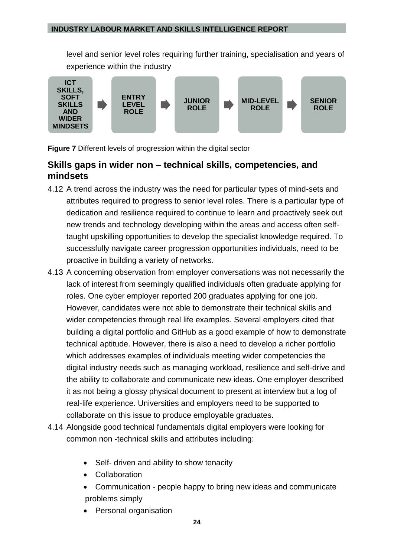level and senior level roles requiring further training, specialisation and years of experience within the industry



**Figure 7** Different levels of progression within the digital sector

# <span id="page-23-0"></span>**Skills gaps in wider non – technical skills, competencies, and mindsets**

- 4.12 A trend across the industry was the need for particular types of mind-sets and attributes required to progress to senior level roles. There is a particular type of dedication and resilience required to continue to learn and proactively seek out new trends and technology developing within the areas and access often selftaught upskilling opportunities to develop the specialist knowledge required. To successfully navigate career progression opportunities individuals, need to be proactive in building a variety of networks.
- 4.13 A concerning observation from employer conversations was not necessarily the lack of interest from seemingly qualified individuals often graduate applying for roles. One cyber employer reported 200 graduates applying for one job. However, candidates were not able to demonstrate their technical skills and wider competencies through real life examples. Several employers cited that building a digital portfolio and GitHub as a good example of how to demonstrate technical aptitude. However, there is also a need to develop a richer portfolio which addresses examples of individuals meeting wider competencies the digital industry needs such as managing workload, resilience and self-drive and the ability to collaborate and communicate new ideas. One employer described it as not being a glossy physical document to present at interview but a log of real-life experience. Universities and employers need to be supported to collaborate on this issue to produce employable graduates.
- 4.14 Alongside good technical fundamentals digital employers were looking for common non -technical skills and attributes including:
	- Self- driven and ability to show tenacity
	- Collaboration
	- Communication people happy to bring new ideas and communicate problems simply
	- Personal organisation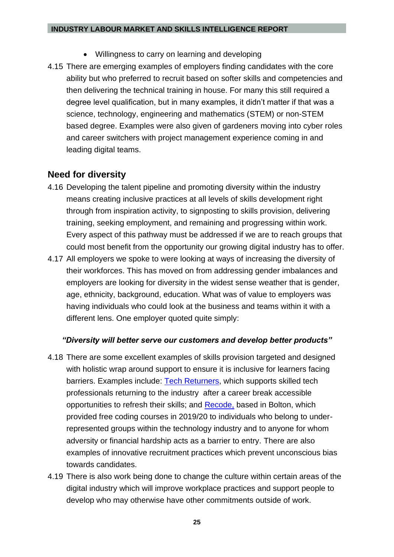- Willingness to carry on learning and developing
- 4.15 There are emerging examples of employers finding candidates with the core ability but who preferred to recruit based on softer skills and competencies and then delivering the technical training in house. For many this still required a degree level qualification, but in many examples, it didn't matter if that was a science, technology, engineering and mathematics (STEM) or non-STEM based degree. Examples were also given of gardeners moving into cyber roles and career switchers with project management experience coming in and leading digital teams.

## <span id="page-24-0"></span>**Need for diversity**

- 4.16 Developing the talent pipeline and promoting diversity within the industry means creating inclusive practices at all levels of skills development right through from inspiration activity, to signposting to skills provision, delivering training, seeking employment, and remaining and progressing within work. Every aspect of this pathway must be addressed if we are to reach groups that could most benefit from the opportunity our growing digital industry has to offer.
- 4.17 All employers we spoke to were looking at ways of increasing the diversity of their workforces. This has moved on from addressing gender imbalances and employers are looking for diversity in the widest sense weather that is gender, age, ethnicity, background, education. What was of value to employers was having individuals who could look at the business and teams within it with a different lens. One employer quoted quite simply:

#### *"Diversity will better serve our customers and develop better products"*

- 4.18 There are some excellent examples of skills provision targeted and designed with holistic wrap around support to ensure it is inclusive for learners facing barriers. Examples include: [Tech Returners,](https://www.techreturners.com/) which supports skilled tech professionals returning to the industry after a career break accessible opportunities to refresh their skills; and [Recode,](https://recode.org.uk/) based in Bolton, which provided free coding courses in 2019/20 to individuals who belong to underrepresented groups within the technology industry and to anyone for whom adversity or financial hardship acts as a barrier to entry. There are also examples of innovative recruitment practices which prevent unconscious bias towards candidates.
- 4.19 There is also work being done to change the culture within certain areas of the digital industry which will improve workplace practices and support people to develop who may otherwise have other commitments outside of work.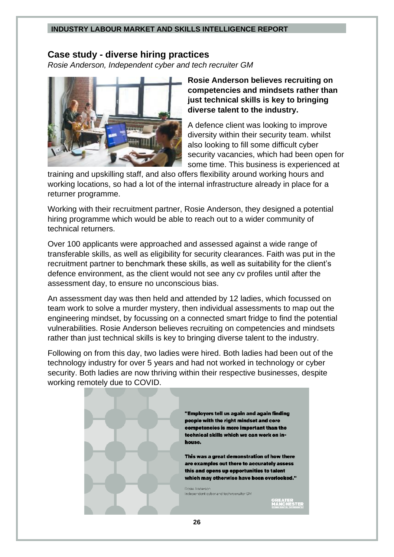### <span id="page-25-0"></span>**Case study - diverse hiring practices**

*Rosie Anderson, Independent cyber and tech recruiter GM* 



**Rosie Anderson believes recruiting on competencies and mindsets rather than just technical skills is key to bringing diverse talent to the industry.**

A defence client was looking to improve diversity within their security team. whilst also looking to fill some difficult cyber security vacancies, which had been open for some time. This business is experienced at

training and upskilling staff, and also offers flexibility around working hours and working locations, so had a lot of the internal infrastructure already in place for a returner programme.

Working with their recruitment partner, Rosie Anderson, they designed a potential hiring programme which would be able to reach out to a wider community of technical returners.

Over 100 applicants were approached and assessed against a wide range of transferable skills, as well as eligibility for security clearances. Faith was put in the recruitment partner to benchmark these skills, as well as suitability for the client's defence environment, as the client would not see any cv profiles until after the assessment day, to ensure no unconscious bias.

An assessment day was then held and attended by 12 ladies, which focussed on team work to solve a murder mystery, then individual assessments to map out the engineering mindset, by focussing on a connected smart fridge to find the potential vulnerabilities. Rosie Anderson believes recruiting on competencies and mindsets rather than just technical skills is key to bringing diverse talent to the industry.

Following on from this day, two ladies were hired. Both ladies had been out of the technology industry for over 5 years and had not worked in technology or cyber security. Both ladies are now thriving within their respective businesses, despite working remotely due to COVID.



"Employers tell us again and again finding people with the right mindset and core competencies is more important than the technical skills which we can work on in-

This was a great demonstration of how there are examples out there to accurately assess this and opens up opportunities to talent which may otherwise have been overlooked."

Independent cyber and tech recruiter GM

REATER<br>Anchester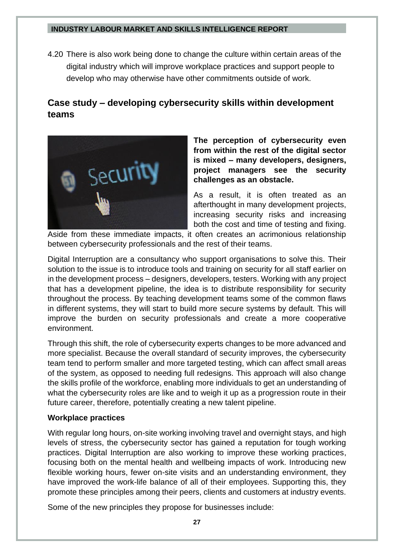4.20 There is also work being done to change the culture within certain areas of the digital industry which will improve workplace practices and support people to develop who may otherwise have other commitments outside of work.

# <span id="page-26-0"></span>**Case study – developing cybersecurity skills within development teams**



**The perception of cybersecurity even from within the rest of the digital sector is mixed – many developers, designers, project managers see the security challenges as an obstacle.** 

As a result, it is often treated as an afterthought in many development projects, increasing security risks and increasing both the cost and time of testing and fixing.

Aside from these immediate impacts, it often creates an acrimonious relationship between cybersecurity professionals and the rest of their teams.

Digital Interruption are a consultancy who support organisations to solve this. Their solution to the issue is to introduce tools and training on security for all staff earlier on in the development process – designers, developers, testers. Working with any project that has a development pipeline, the idea is to distribute responsibility for security throughout the process. By teaching development teams some of the common flaws in different systems, they will start to build more secure systems by default. This will improve the burden on security professionals and create a more cooperative environment.

Through this shift, the role of cybersecurity experts changes to be more advanced and more specialist. Because the overall standard of security improves, the cybersecurity team tend to perform smaller and more targeted testing, which can affect small areas of the system, as opposed to needing full redesigns. This approach will also change the skills profile of the workforce, enabling more individuals to get an understanding of what the cybersecurity roles are like and to weigh it up as a progression route in their future career, therefore, potentially creating a new talent pipeline.

#### **Workplace practices**

With regular long hours, on-site working involving travel and overnight stays, and high levels of stress, the cybersecurity sector has gained a reputation for tough working practices. Digital Interruption are also working to improve these working practices, focusing both on the mental health and wellbeing impacts of work. Introducing new flexible working hours, fewer on-site visits and an understanding environment, they have improved the work-life balance of all of their employees. Supporting this, they promote these principles among their peers, clients and customers at industry events.

Some of the new principles they propose for businesses include: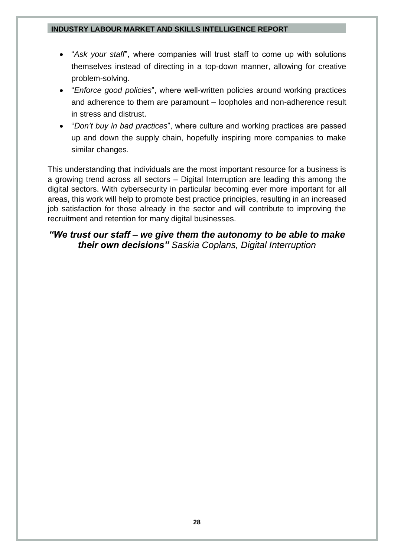- "*Ask your staff*", where companies will trust staff to come up with solutions themselves instead of directing in a top-down manner, allowing for creative problem-solving.
- "*Enforce good policies*", where well-written policies around working practices and adherence to them are paramount – loopholes and non-adherence result in stress and distrust.
- "*Don't buy in bad practices*", where culture and working practices are passed up and down the supply chain, hopefully inspiring more companies to make similar changes.

This understanding that individuals are the most important resource for a business is a growing trend across all sectors – Digital Interruption are leading this among the digital sectors. With cybersecurity in particular becoming ever more important for all areas, this work will help to promote best practice principles, resulting in an increased job satisfaction for those already in the sector and will contribute to improving the recruitment and retention for many digital businesses.

## *"We trust our staff – we give them the autonomy to be able to make their own decisions" Saskia Coplans, Digital Interruption*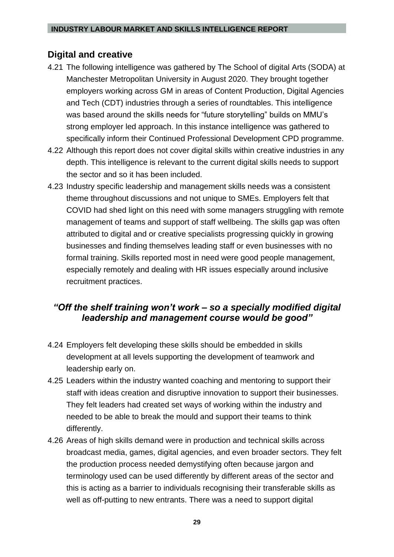# <span id="page-28-0"></span>**Digital and creative**

- 4.21 The following intelligence was gathered by The School of digital Arts (SODA) at Manchester Metropolitan University in August 2020. They brought together employers working across GM in areas of Content Production, Digital Agencies and Tech (CDT) industries through a series of roundtables. This intelligence was based around the skills needs for "future storytelling" builds on MMU's strong employer led approach. In this instance intelligence was gathered to specifically inform their Continued Professional Development CPD programme.
- 4.22 Although this report does not cover digital skills within creative industries in any depth. This intelligence is relevant to the current digital skills needs to support the sector and so it has been included.
- 4.23 Industry specific leadership and management skills needs was a consistent theme throughout discussions and not unique to SMEs. Employers felt that COVID had shed light on this need with some managers struggling with remote management of teams and support of staff wellbeing. The skills gap was often attributed to digital and or creative specialists progressing quickly in growing businesses and finding themselves leading staff or even businesses with no formal training. Skills reported most in need were good people management, especially remotely and dealing with HR issues especially around inclusive recruitment practices.

# *"Off the shelf training won't work – so a specially modified digital leadership and management course would be good"*

- 4.24 Employers felt developing these skills should be embedded in skills development at all levels supporting the development of teamwork and leadership early on.
- 4.25 Leaders within the industry wanted coaching and mentoring to support their staff with ideas creation and disruptive innovation to support their businesses. They felt leaders had created set ways of working within the industry and needed to be able to break the mould and support their teams to think differently.
- 4.26 Areas of high skills demand were in production and technical skills across broadcast media, games, digital agencies, and even broader sectors. They felt the production process needed demystifying often because jargon and terminology used can be used differently by different areas of the sector and this is acting as a barrier to individuals recognising their transferable skills as well as off-putting to new entrants. There was a need to support digital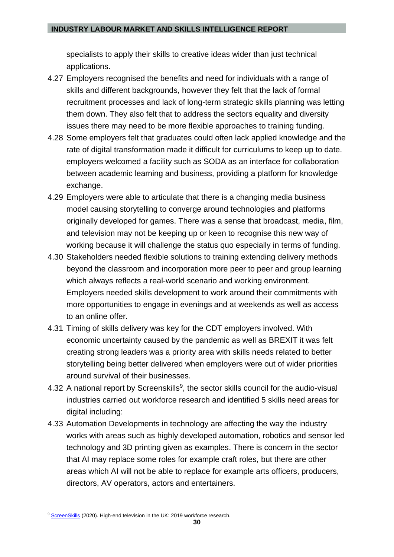specialists to apply their skills to creative ideas wider than just technical applications.

- 4.27 Employers recognised the benefits and need for individuals with a range of skills and different backgrounds, however they felt that the lack of formal recruitment processes and lack of long-term strategic skills planning was letting them down. They also felt that to address the sectors equality and diversity issues there may need to be more flexible approaches to training funding.
- 4.28 Some employers felt that graduates could often lack applied knowledge and the rate of digital transformation made it difficult for curriculums to keep up to date. employers welcomed a facility such as SODA as an interface for collaboration between academic learning and business, providing a platform for knowledge exchange.
- 4.29 Employers were able to articulate that there is a changing media business model causing storytelling to converge around technologies and platforms originally developed for games. There was a sense that broadcast, media, film, and television may not be keeping up or keen to recognise this new way of working because it will challenge the status quo especially in terms of funding.
- 4.30 Stakeholders needed flexible solutions to training extending delivery methods beyond the classroom and incorporation more peer to peer and group learning which always reflects a real-world scenario and working environment. Employers needed skills development to work around their commitments with more opportunities to engage in evenings and at weekends as well as access to an online offer.
- 4.31 Timing of skills delivery was key for the CDT employers involved. With economic uncertainty caused by the pandemic as well as BREXIT it was felt creating strong leaders was a priority area with skills needs related to better storytelling being better delivered when employers were out of wider priorities around survival of their businesses.
- 4.32 A national report by Screenskills<sup>9</sup>, the sector skills council for the audio-visual industries carried out workforce research and identified 5 skills need areas for digital including:
- 4.33 Automation Developments in technology are affecting the way the industry works with areas such as highly developed automation, robotics and sensor led technology and 3D printing given as examples. There is concern in the sector that AI may replace some roles for example craft roles, but there are other areas which AI will not be able to replace for example arts officers, producers, directors, AV operators, actors and entertainers.

<sup>&</sup>lt;sup>9</sup> [ScreenSkills](https://www.screenskills.com/media/3625/2020-05-18-hetv-report.pdf) (2020). High-end television in the UK: 2019 workforce research.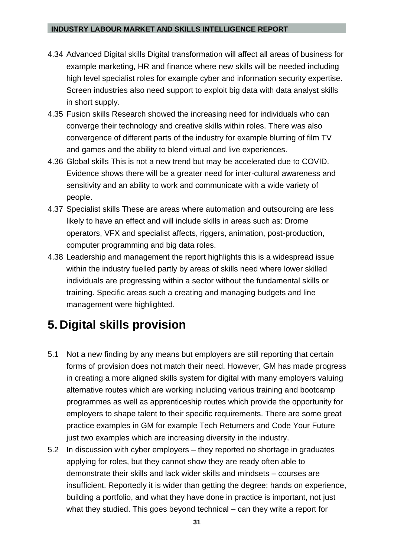- 4.34 Advanced Digital skills Digital transformation will affect all areas of business for example marketing, HR and finance where new skills will be needed including high level specialist roles for example cyber and information security expertise. Screen industries also need support to exploit big data with data analyst skills in short supply.
- 4.35 Fusion skills Research showed the increasing need for individuals who can converge their technology and creative skills within roles. There was also convergence of different parts of the industry for example blurring of film TV and games and the ability to blend virtual and live experiences.
- 4.36 Global skills This is not a new trend but may be accelerated due to COVID. Evidence shows there will be a greater need for inter-cultural awareness and sensitivity and an ability to work and communicate with a wide variety of people.
- 4.37 Specialist skills These are areas where automation and outsourcing are less likely to have an effect and will include skills in areas such as: Drome operators, VFX and specialist affects, riggers, animation, post-production, computer programming and big data roles.
- 4.38 Leadership and management the report highlights this is a widespread issue within the industry fuelled partly by areas of skills need where lower skilled individuals are progressing within a sector without the fundamental skills or training. Specific areas such a creating and managing budgets and line management were highlighted.

# <span id="page-30-0"></span>**5. Digital skills provision**

- 5.1 Not a new finding by any means but employers are still reporting that certain forms of provision does not match their need. However, GM has made progress in creating a more aligned skills system for digital with many employers valuing alternative routes which are working including various training and bootcamp programmes as well as apprenticeship routes which provide the opportunity for employers to shape talent to their specific requirements. There are some great practice examples in GM for example Tech Returners and Code Your Future just two examples which are increasing diversity in the industry.
- 5.2 In discussion with cyber employers they reported no shortage in graduates applying for roles, but they cannot show they are ready often able to demonstrate their skills and lack wider skills and mindsets – courses are insufficient. Reportedly it is wider than getting the degree: hands on experience, building a portfolio, and what they have done in practice is important, not just what they studied. This goes beyond technical – can they write a report for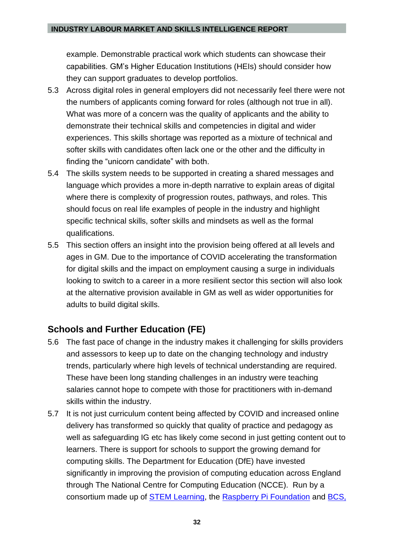example. Demonstrable practical work which students can showcase their capabilities. GM's Higher Education Institutions (HEIs) should consider how they can support graduates to develop portfolios.

- 5.3 Across digital roles in general employers did not necessarily feel there were not the numbers of applicants coming forward for roles (although not true in all). What was more of a concern was the quality of applicants and the ability to demonstrate their technical skills and competencies in digital and wider experiences. This skills shortage was reported as a mixture of technical and softer skills with candidates often lack one or the other and the difficulty in finding the "unicorn candidate" with both.
- 5.4 The skills system needs to be supported in creating a shared messages and language which provides a more in-depth narrative to explain areas of digital where there is complexity of progression routes, pathways, and roles. This should focus on real life examples of people in the industry and highlight specific technical skills, softer skills and mindsets as well as the formal qualifications.
- 5.5 This section offers an insight into the provision being offered at all levels and ages in GM. Due to the importance of COVID accelerating the transformation for digital skills and the impact on employment causing a surge in individuals looking to switch to a career in a more resilient sector this section will also look at the alternative provision available in GM as well as wider opportunities for adults to build digital skills.

# <span id="page-31-0"></span>**Schools and Further Education (FE)**

- 5.6 The fast pace of change in the industry makes it challenging for skills providers and assessors to keep up to date on the changing technology and industry trends, particularly where high levels of technical understanding are required. These have been long standing challenges in an industry were teaching salaries cannot hope to compete with those for practitioners with in-demand skills within the industry.
- 5.7 It is not just curriculum content being affected by COVID and increased online delivery has transformed so quickly that quality of practice and pedagogy as well as safeguarding IG etc has likely come second in just getting content out to learners. There is support for schools to support the growing demand for computing skills. The Department for Education (DfE) have invested significantly in improving the provision of computing education across England through The National Centre for Computing Education (NCCE). Run by a consortium made up of [STEM Learning,](https://www.stem.org.uk/) the [Raspberry Pi Foundation](https://www.raspberrypi.org/) and [BCS,](https://www.bcs.org/)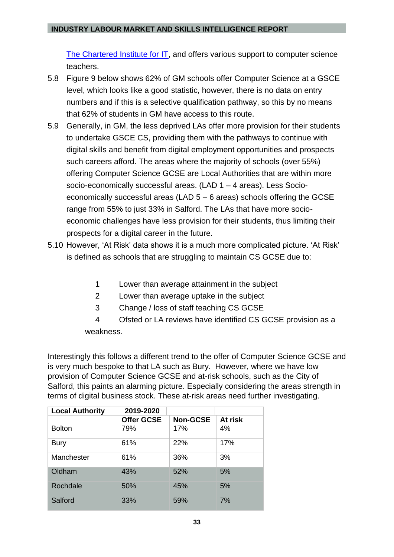[The Chartered Institute for IT,](https://www.bcs.org/) and offers various support to computer science teachers.

- 5.8 Figure 9 below shows 62% of GM schools offer Computer Science at a GSCE level, which looks like a good statistic, however, there is no data on entry numbers and if this is a selective qualification pathway, so this by no means that 62% of students in GM have access to this route.
- 5.9 Generally, in GM, the less deprived LAs offer more provision for their students to undertake GSCE CS, providing them with the pathways to continue with digital skills and benefit from digital employment opportunities and prospects such careers afford. The areas where the majority of schools (over 55%) offering Computer Science GCSE are Local Authorities that are within more socio-economically successful areas. (LAD 1 – 4 areas). Less Socioeconomically successful areas (LAD 5 – 6 areas) schools offering the GCSE range from 55% to just 33% in Salford. The LAs that have more socioeconomic challenges have less provision for their students, thus limiting their prospects for a digital career in the future.
- 5.10 However, 'At Risk' data shows it is a much more complicated picture. 'At Risk' is defined as schools that are struggling to maintain CS GCSE due to:
	- 1 Lower than average attainment in the subject
	- 2 Lower than average uptake in the subject
	- 3 Change / loss of staff teaching CS GCSE
	- 4 Ofsted or LA reviews have identified CS GCSE provision as a weakness.

Interestingly this follows a different trend to the offer of Computer Science GCSE and is very much bespoke to that LA such as Bury. However, where we have low provision of Computer Science GCSE and at-risk schools, such as the City of Salford, this paints an alarming picture. Especially considering the areas strength in terms of digital business stock. These at-risk areas need further investigating.

| <b>Local Authority</b> | 2019-2020         |                 |         |
|------------------------|-------------------|-----------------|---------|
|                        | <b>Offer GCSE</b> | <b>Non-GCSE</b> | At risk |
| <b>Bolton</b>          | 79%               | 17%             | 4%      |
| <b>Bury</b>            | 61%               | 22%             | 17%     |
| Manchester             | 61%               | 36%             | 3%      |
| Oldham                 | 43%               | 52%             | 5%      |
| Rochdale               | 50%               | 45%             | 5%      |
| Salford                | 33%               | 59%             | 7%      |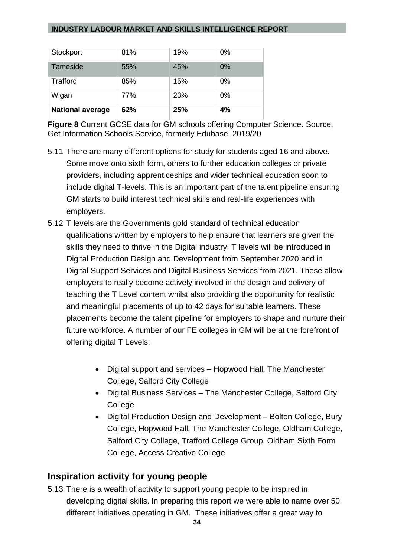| Tameside                | 55% | 45% | $0\%$ |
|-------------------------|-----|-----|-------|
| <b>Trafford</b>         | 85% | 15% | $0\%$ |
| Wigan                   | 77% | 23% | $0\%$ |
| <b>National average</b> | 62% | 25% | 4%    |

**Figure 8** Current GCSE data for GM schools offering Computer Science. Source, Get Information Schools Service, formerly Edubase, 2019/20

- 5.11 There are many different options for study for students aged 16 and above. Some move onto sixth form, others to further education colleges or private providers, including apprenticeships and wider technical education soon to include digital T-levels. This is an important part of the talent pipeline ensuring GM starts to build interest technical skills and real-life experiences with employers.
- 5.12 T levels are the Governments gold standard of technical education qualifications written by employers to help ensure that learners are given the skills they need to thrive in the Digital industry. T levels will be introduced in Digital Production Design and Development from September 2020 and in Digital Support Services and Digital Business Services from 2021. These allow employers to really become actively involved in the design and delivery of teaching the T Level content whilst also providing the opportunity for realistic and meaningful placements of up to 42 days for suitable learners. These placements become the talent pipeline for employers to shape and nurture their future workforce. A number of our FE colleges in GM will be at the forefront of offering digital T Levels:
	- Digital support and services Hopwood Hall, The Manchester College, Salford City College
	- Digital Business Services The Manchester College, Salford City **College**
	- Digital Production Design and Development Bolton College, Bury College, Hopwood Hall, The Manchester College, Oldham College, Salford City College, Trafford College Group, Oldham Sixth Form College, Access Creative College

## <span id="page-33-0"></span>**Inspiration activity for young people**

5.13 There is a wealth of activity to support young people to be inspired in developing digital skills. In preparing this report we were able to name over 50 different initiatives operating in GM. These initiatives offer a great way to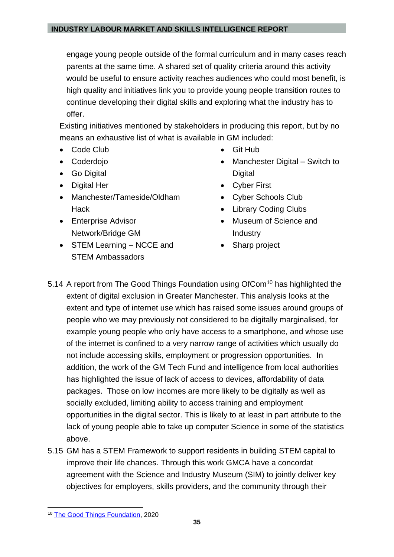engage young people outside of the formal curriculum and in many cases reach parents at the same time. A shared set of quality criteria around this activity would be useful to ensure activity reaches audiences who could most benefit, is high quality and initiatives link you to provide young people transition routes to continue developing their digital skills and exploring what the industry has to offer.

Existing initiatives mentioned by stakeholders in producing this report, but by no means an exhaustive list of what is available in GM included:

- Code Club
- Coderdojo
- Go Digital
- Digital Her
- Manchester/Tameside/Oldham Hack
- Enterprise Advisor Network/Bridge GM
- STEM Learning NCCE and STEM Ambassadors
- Git Hub
- Manchester Digital Switch to **Digital**
- Cyber First
- Cyber Schools Club
- Library Coding Clubs
- Museum of Science and Industry
- Sharp project
- 5.14 A report from The Good Things Foundation using OfCom<sup>10</sup> has highlighted the extent of digital exclusion in Greater Manchester. This analysis looks at the extent and type of internet use which has raised some issues around groups of people who we may previously not considered to be digitally marginalised, for example young people who only have access to a smartphone, and whose use of the internet is confined to a very narrow range of activities which usually do not include accessing skills, employment or progression opportunities. In addition, the work of the GM Tech Fund and intelligence from local authorities has highlighted the issue of lack of access to devices, affordability of data packages. Those on low incomes are more likely to be digitally as well as socially excluded, limiting ability to access training and employment opportunities in the digital sector. This is likely to at least in part attribute to the lack of young people able to take up computer Science in some of the statistics above.
- 5.15 GM has a STEM Framework to support residents in building STEM capital to improve their life chances. Through this work GMCA have a concordat agreement with the Science and Industry Museum (SIM) to jointly deliver key objectives for employers, skills providers, and the community through their

<sup>10</sup> [The Good Things Foundation,](https://www.goodthingsfoundation.org/sites/default/files/research-publications/digital-nation-2020.pdf) 2020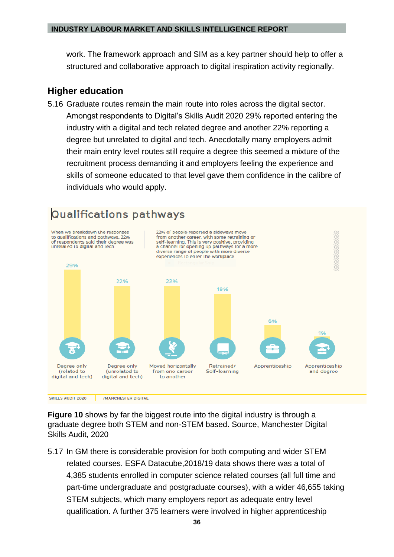work. The framework approach and SIM as a key partner should help to offer a structured and collaborative approach to digital inspiration activity regionally.

### <span id="page-35-0"></span>**Higher education**

5.16 Graduate routes remain the main route into roles across the digital sector. Amongst respondents to Digital's Skills Audit 2020 29% reported entering the industry with a digital and tech related degree and another 22% reporting a degree but unrelated to digital and tech. Anecdotally many employers admit their main entry level routes still require a degree this seemed a mixture of the recruitment process demanding it and employers feeling the experience and skills of someone educated to that level gave them confidence in the calibre of individuals who would apply.



**Figure 10** shows by far the biggest route into the digital industry is through a graduate degree both STEM and non-STEM based. Source, Manchester Digital Skills Audit, 2020

5.17 In GM there is considerable provision for both computing and wider STEM related courses. ESFA Datacube,2018/19 data shows there was a total of 4,385 students enrolled in computer science related courses (all full time and part-time undergraduate and postgraduate courses), with a wider 46,655 taking STEM subjects, which many employers report as adequate entry level qualification. A further 375 learners were involved in higher apprenticeship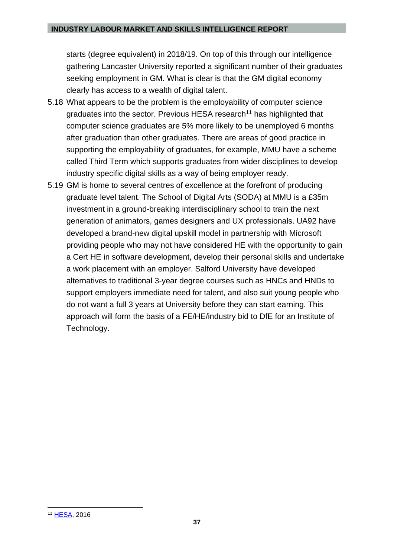starts (degree equivalent) in 2018/19. On top of this through our intelligence gathering Lancaster University reported a significant number of their graduates seeking employment in GM. What is clear is that the GM digital economy clearly has access to a wealth of digital talent.

- 5.18 What appears to be the problem is the employability of computer science graduates into the sector. Previous HESA research<sup>11</sup> has highlighted that computer science graduates are 5% more likely to be unemployed 6 months after graduation than other graduates. There are areas of good practice in supporting the employability of graduates, for example, MMU have a scheme called Third Term which supports graduates from wider disciplines to develop industry specific digital skills as a way of being employer ready.
- 5.19 GM is home to several centres of excellence at the forefront of producing graduate level talent. The School of Digital Arts (SODA) at MMU is a £35m investment in a ground-breaking interdisciplinary school to train the next generation of animators, games designers and UX professionals. UA92 have developed a brand-new digital upskill model in partnership with Microsoft providing people who may not have considered HE with the opportunity to gain a Cert HE in software development, develop their personal skills and undertake a work placement with an employer. Salford University have developed alternatives to traditional 3-year degree courses such as HNCs and HNDs to support employers immediate need for talent, and also suit young people who do not want a full 3 years at University before they can start earning. This approach will form the basis of a FE/HE/industry bid to DfE for an Institute of Technology.

<sup>11</sup> [HESA,](https://assets.publishing.service.gov.uk/government/uploads/system/uploads/attachment_data/file/523079/bis-16-114-computer-science-graduate-employability.pdf) 2016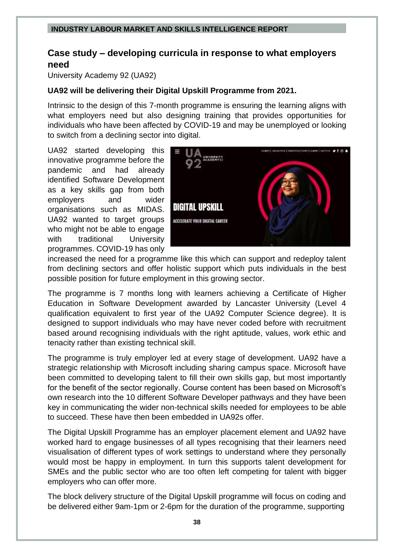# <span id="page-37-0"></span>**Case study – developing curricula in response to what employers need**

University Academy 92 (UA92)

#### **UA92 will be delivering their Digital Upskill Programme from 2021.**

Intrinsic to the design of this 7-month programme is ensuring the learning aligns with what employers need but also designing training that provides opportunities for individuals who have been affected by COVID-19 and may be unemployed or looking to switch from a declining sector into digital.

UA92 started developing this innovative programme before the pandemic and had already identified Software Development as a key skills gap from both employers and wider organisations such as MIDAS. UA92 wanted to target groups who might not be able to engage with traditional University programmes. COVID-19 has only



increased the need for a programme like this which can support and redeploy talent from declining sectors and offer holistic support which puts individuals in the best possible position for future employment in this growing sector.

The programme is 7 months long with learners achieving a Certificate of Higher Education in Software Development awarded by Lancaster University (Level 4 qualification equivalent to first year of the UA92 Computer Science degree). It is designed to support individuals who may have never coded before with recruitment based around recognising individuals with the right aptitude, values, work ethic and tenacity rather than existing technical skill.

The programme is truly employer led at every stage of development. UA92 have a strategic relationship with Microsoft including sharing campus space. Microsoft have been committed to developing talent to fill their own skills gap, but most importantly for the benefit of the sector regionally. Course content has been based on Microsoft's own research into the 10 different Software Developer pathways and they have been key in communicating the wider non-technical skills needed for employees to be able to succeed. These have then been embedded in UA92s offer.

The Digital Upskill Programme has an employer placement element and UA92 have worked hard to engage businesses of all types recognising that their learners need visualisation of different types of work settings to understand where they personally would most be happy in employment. In turn this supports talent development for SMEs and the public sector who are too often left competing for talent with bigger employers who can offer more.

The block delivery structure of the Digital Upskill programme will focus on coding and be delivered either 9am-1pm or 2-6pm for the duration of the programme, supporting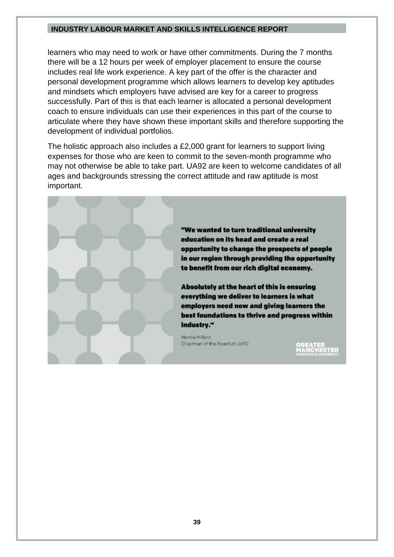learners who may need to work or have other commitments. During the 7 months there will be a 12 hours per week of employer placement to ensure the course includes real life work experience. A key part of the offer is the character and personal development programme which allows learners to develop key aptitudes and mindsets which employers have advised are key for a career to progress successfully. Part of this is that each learner is allocated a personal development coach to ensure individuals can use their experiences in this part of the course to articulate where they have shown these important skills and therefore supporting the development of individual portfolios.

The holistic approach also includes a £2,000 grant for learners to support living expenses for those who are keen to commit to the seven-month programme who may not otherwise be able to take part. UA92 are keen to welcome candidates of all ages and backgrounds stressing the correct attitude and raw aptitude is most important.

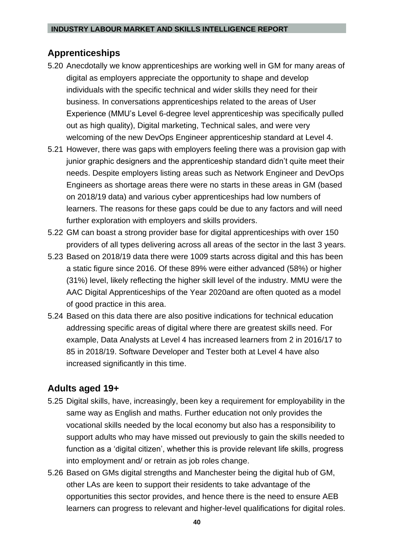## <span id="page-39-0"></span>**Apprenticeships**

- 5.20 Anecdotally we know apprenticeships are working well in GM for many areas of digital as employers appreciate the opportunity to shape and develop individuals with the specific technical and wider skills they need for their business. In conversations apprenticeships related to the areas of User Experience (MMU's Level 6-degree level apprenticeship was specifically pulled out as high quality), Digital marketing, Technical sales, and were very welcoming of the new DevOps Engineer apprenticeship standard at Level 4.
- 5.21 However, there was gaps with employers feeling there was a provision gap with junior graphic designers and the apprenticeship standard didn't quite meet their needs. Despite employers listing areas such as Network Engineer and DevOps Engineers as shortage areas there were no starts in these areas in GM (based on 2018/19 data) and various cyber apprenticeships had low numbers of learners. The reasons for these gaps could be due to any factors and will need further exploration with employers and skills providers.
- 5.22 GM can boast a strong provider base for digital apprenticeships with over 150 providers of all types delivering across all areas of the sector in the last 3 years.
- 5.23 Based on 2018/19 data there were 1009 starts across digital and this has been a static figure since 2016. Of these 89% were either advanced (58%) or higher (31%) level, likely reflecting the higher skill level of the industry. MMU were the AAC Digital Apprenticeships of the Year 2020and are often quoted as a model of good practice in this area.
- 5.24 Based on this data there are also positive indications for technical education addressing specific areas of digital where there are greatest skills need. For example, Data Analysts at Level 4 has increased learners from 2 in 2016/17 to 85 in 2018/19. Software Developer and Tester both at Level 4 have also increased significantly in this time.

## <span id="page-39-1"></span>**Adults aged 19+**

- 5.25 Digital skills, have, increasingly, been key a requirement for employability in the same way as English and maths. Further education not only provides the vocational skills needed by the local economy but also has a responsibility to support adults who may have missed out previously to gain the skills needed to function as a 'digital citizen', whether this is provide relevant life skills, progress into employment and/ or retrain as job roles change.
- 5.26 Based on GMs digital strengths and Manchester being the digital hub of GM, other LAs are keen to support their residents to take advantage of the opportunities this sector provides, and hence there is the need to ensure AEB learners can progress to relevant and higher-level qualifications for digital roles.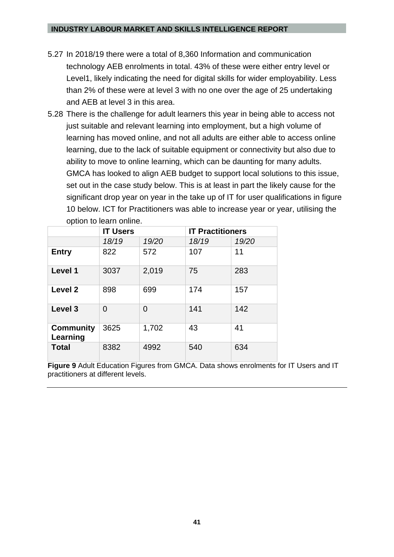- 5.27 In 2018/19 there were a total of 8,360 Information and communication technology AEB enrolments in total. 43% of these were either entry level or Level1, likely indicating the need for digital skills for wider employability. Less than 2% of these were at level 3 with no one over the age of 25 undertaking and AEB at level 3 in this area.
- 5.28 There is the challenge for adult learners this year in being able to access not just suitable and relevant learning into employment, but a high volume of learning has moved online, and not all adults are either able to access online learning, due to the lack of suitable equipment or connectivity but also due to ability to move to online learning, which can be daunting for many adults. GMCA has looked to align AEB budget to support local solutions to this issue, set out in the case study below. This is at least in part the likely cause for the significant drop year on year in the take up of IT for user qualifications in figure 10 below. ICT for Practitioners was able to increase year or year, utilising the option to learn online.

|                              | <b>IT Users</b> |                | <b>IT Practitioners</b> |       |
|------------------------------|-----------------|----------------|-------------------------|-------|
|                              | 18/19           | 19/20          | 18/19                   | 19/20 |
| <b>Entry</b>                 | 822             | 572            | 107                     | 11    |
| Level 1                      | 3037            | 2,019          | 75                      | 283   |
| Level 2                      | 898             | 699            | 174                     | 157   |
| Level <sub>3</sub>           | $\Omega$        | $\overline{0}$ | 141                     | 142   |
| <b>Community</b><br>Learning | 3625            | 1,702          | 43                      | 41    |
| <b>Total</b>                 | 8382            | 4992           | 540                     | 634   |

**Figure 9** Adult Education Figures from GMCA. Data shows enrolments for IT Users and IT practitioners at different levels.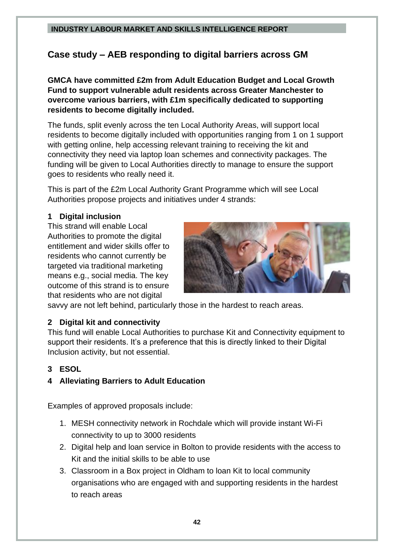# <span id="page-41-0"></span>**Case study – AEB responding to digital barriers across GM**

**GMCA have committed £2m from Adult Education Budget and Local Growth Fund to support vulnerable adult residents across Greater Manchester to overcome various barriers, with £1m specifically dedicated to supporting residents to become digitally included.**

The funds, split evenly across the ten Local Authority Areas, will support local residents to become digitally included with opportunities ranging from 1 on 1 support with getting online, help accessing relevant training to receiving the kit and connectivity they need via laptop loan schemes and connectivity packages. The funding will be given to Local Authorities directly to manage to ensure the support goes to residents who really need it.

This is part of the £2m Local Authority Grant Programme which will see Local Authorities propose projects and initiatives under 4 strands:

### **1 Digital inclusion**

This strand will enable Local Authorities to promote the digital entitlement and wider skills offer to residents who cannot currently be targeted via traditional marketing means e.g., social media. The key outcome of this strand is to ensure that residents who are not digital



savvy are not left behind, particularly those in the hardest to reach areas.

#### **2 Digital kit and connectivity**

This fund will enable Local Authorities to purchase Kit and Connectivity equipment to support their residents. It's a preference that this is directly linked to their Digital Inclusion activity, but not essential.

#### **3 ESOL**

## **4 Alleviating Barriers to Adult Education**

Examples of approved proposals include:

- 1. MESH connectivity network in Rochdale which will provide instant Wi-Fi connectivity to up to 3000 residents
- 2. Digital help and loan service in Bolton to provide residents with the access to Kit and the initial skills to be able to use
- 3. Classroom in a Box project in Oldham to loan Kit to local community organisations who are engaged with and supporting residents in the hardest to reach areas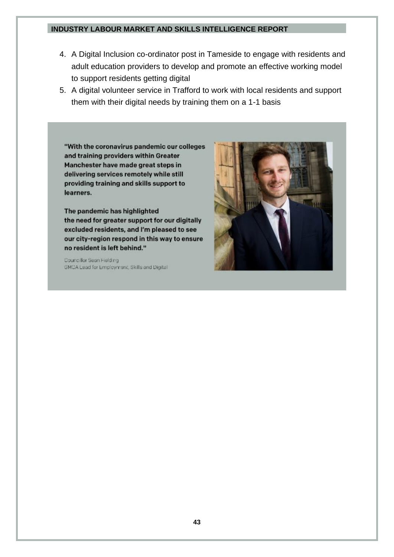- 4. A Digital Inclusion co-ordinator post in Tameside to engage with residents and adult education providers to develop and promote an effective working model to support residents getting digital
- 5. A digital volunteer service in Trafford to work with local residents and support them with their digital needs by training them on a 1-1 basis

"With the coronavirus pandemic our colleges and training providers within Greater Manchester have made great steps in delivering services remotely while still providing training and skills support to learners.

The pandemic has highlighted the need for greater support for our digitally excluded residents, and I'm pleased to see our city-region respond in this way to ensure no resident is left behind."

Councillor Sean Hielding GMCA Lead for Employment, Skills and Digital

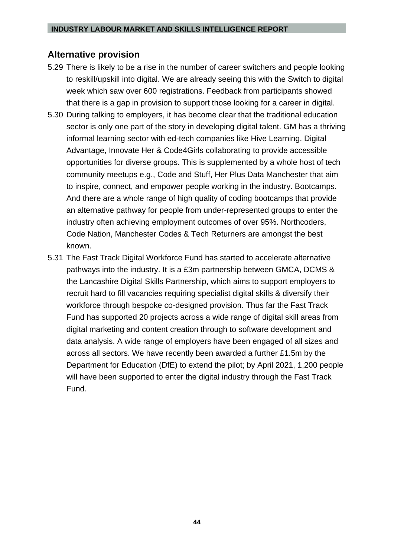## <span id="page-43-0"></span>**Alternative provision**

- 5.29 There is likely to be a rise in the number of career switchers and people looking to reskill/upskill into digital. We are already seeing this with the Switch to digital week which saw over 600 registrations. Feedback from participants showed that there is a gap in provision to support those looking for a career in digital.
- 5.30 During talking to employers, it has become clear that the traditional education sector is only one part of the story in developing digital talent. GM has a thriving informal learning sector with ed-tech companies like Hive Learning, Digital Advantage, Innovate Her & Code4Girls collaborating to provide accessible opportunities for diverse groups. This is supplemented by a whole host of tech community meetups e.g., Code and Stuff, Her Plus Data Manchester that aim to inspire, connect, and empower people working in the industry. Bootcamps. And there are a whole range of high quality of coding bootcamps that provide an alternative pathway for people from under-represented groups to enter the industry often achieving employment outcomes of over 95%. Northcoders, Code Nation, Manchester Codes & Tech Returners are amongst the best known.
- 5.31 The Fast Track Digital Workforce Fund has started to accelerate alternative pathways into the industry. It is a £3m partnership between GMCA, DCMS & the Lancashire Digital Skills Partnership, which aims to support employers to recruit hard to fill vacancies requiring specialist digital skills & diversify their workforce through bespoke co-designed provision. Thus far the Fast Track Fund has supported 20 projects across a wide range of digital skill areas from digital marketing and content creation through to software development and data analysis. A wide range of employers have been engaged of all sizes and across all sectors. We have recently been awarded a further £1.5m by the Department for Education (DfE) to extend the pilot; by April 2021, 1,200 people will have been supported to enter the digital industry through the Fast Track Fund.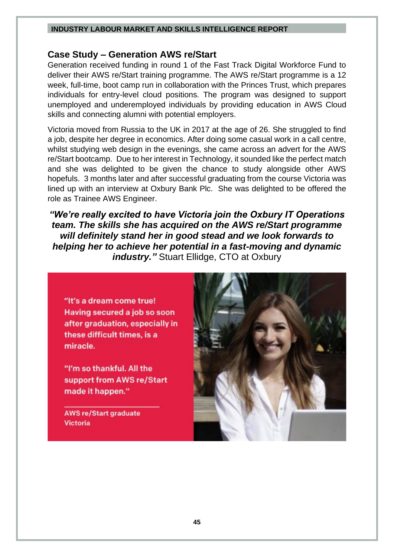### <span id="page-44-0"></span>**Case Study – Generation AWS re/Start**

Generation received funding in round 1 of the Fast Track Digital Workforce Fund to deliver their AWS re/Start training programme. The AWS re/Start programme is a 12 week, full-time, boot camp run in collaboration with the Princes Trust, which prepares individuals for entry-level cloud positions. The program was designed to support unemployed and underemployed individuals by providing education in AWS Cloud skills and connecting alumni with potential employers.

Victoria moved from Russia to the UK in 2017 at the age of 26. She struggled to find a job, despite her degree in economics. After doing some casual work in a call centre, whilst studying web design in the evenings, she came across an advert for the AWS re/Start bootcamp. Due to her interest in Technology, it sounded like the perfect match and she was delighted to be given the chance to study alongside other AWS hopefuls. 3 months later and after successful graduating from the course Victoria was lined up with an interview at Oxbury Bank Plc. She was delighted to be offered the role as Trainee AWS Engineer.

*"We're really excited to have Victoria join the Oxbury IT Operations team. The skills she has acquired on the AWS re/Start programme will definitely stand her in good stead and we look forwards to helping her to achieve her potential in a fast-moving and dynamic industry."* Stuart Ellidge, CTO at Oxbury

"It's a dream come true! Having secured a job so soon after graduation, especially in these difficult times, is a miracle.

"I'm so thankful. All the support from AWS re/Start made it happen."

**AWS re/Start graduate Victoria** 

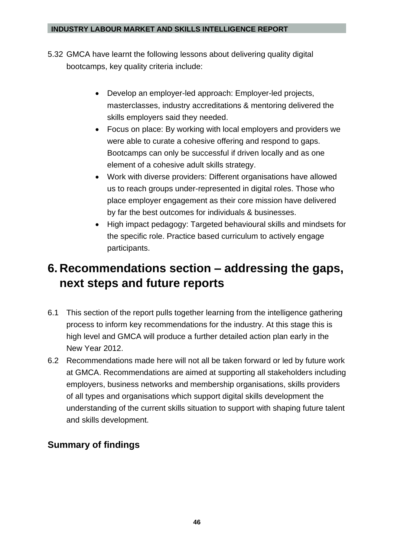- 5.32 GMCA have learnt the following lessons about delivering quality digital bootcamps, key quality criteria include:
	- Develop an employer-led approach: Employer-led projects, masterclasses, industry accreditations & mentoring delivered the skills employers said they needed.
	- Focus on place: By working with local employers and providers we were able to curate a cohesive offering and respond to gaps. Bootcamps can only be successful if driven locally and as one element of a cohesive adult skills strategy.
	- Work with diverse providers: Different organisations have allowed us to reach groups under-represented in digital roles. Those who place employer engagement as their core mission have delivered by far the best outcomes for individuals & businesses.
	- High impact pedagogy: Targeted behavioural skills and mindsets for the specific role. Practice based curriculum to actively engage participants.

# <span id="page-45-0"></span>**6. Recommendations section – addressing the gaps, next steps and future reports**

- 6.1 This section of the report pulls together learning from the intelligence gathering process to inform key recommendations for the industry. At this stage this is high level and GMCA will produce a further detailed action plan early in the New Year 2012.
- 6.2 Recommendations made here will not all be taken forward or led by future work at GMCA. Recommendations are aimed at supporting all stakeholders including employers, business networks and membership organisations, skills providers of all types and organisations which support digital skills development the understanding of the current skills situation to support with shaping future talent and skills development.

# <span id="page-45-1"></span>**Summary of findings**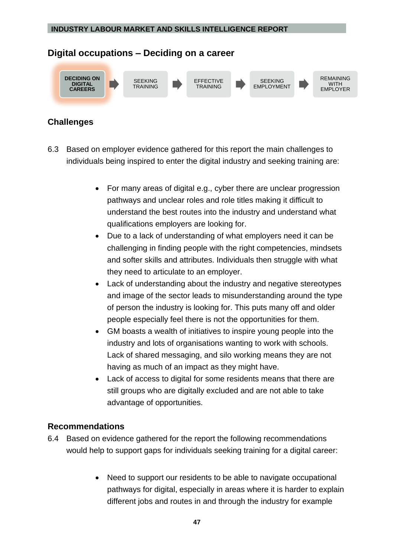# <span id="page-46-0"></span>**Digital occupations – Deciding on a career**



## <span id="page-46-1"></span>**Challenges**

- 6.3 Based on employer evidence gathered for this report the main challenges to individuals being inspired to enter the digital industry and seeking training are:
	- For many areas of digital e.g., cyber there are unclear progression pathways and unclear roles and role titles making it difficult to understand the best routes into the industry and understand what qualifications employers are looking for.
	- Due to a lack of understanding of what employers need it can be challenging in finding people with the right competencies, mindsets and softer skills and attributes. Individuals then struggle with what they need to articulate to an employer.
	- Lack of understanding about the industry and negative stereotypes and image of the sector leads to misunderstanding around the type of person the industry is looking for. This puts many off and older people especially feel there is not the opportunities for them.
	- GM boasts a wealth of initiatives to inspire young people into the industry and lots of organisations wanting to work with schools. Lack of shared messaging, and silo working means they are not having as much of an impact as they might have.
	- Lack of access to digital for some residents means that there are still groups who are digitally excluded and are not able to take advantage of opportunities.

## <span id="page-46-2"></span>**Recommendations**

- 6.4 Based on evidence gathered for the report the following recommendations would help to support gaps for individuals seeking training for a digital career:
	- Need to support our residents to be able to navigate occupational pathways for digital, especially in areas where it is harder to explain different jobs and routes in and through the industry for example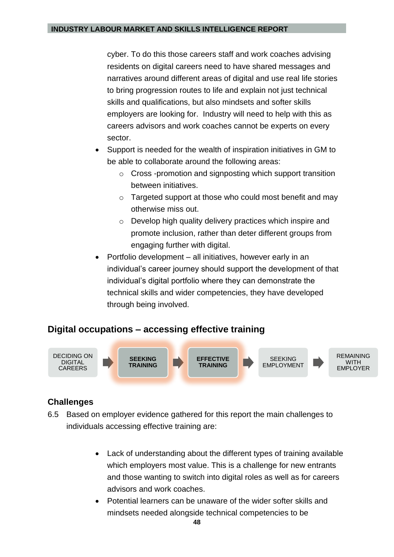cyber. To do this those careers staff and work coaches advising residents on digital careers need to have shared messages and narratives around different areas of digital and use real life stories to bring progression routes to life and explain not just technical skills and qualifications, but also mindsets and softer skills employers are looking for. Industry will need to help with this as careers advisors and work coaches cannot be experts on every sector.

- Support is needed for the wealth of inspiration initiatives in GM to be able to collaborate around the following areas:
	- o Cross -promotion and signposting which support transition between initiatives.
	- o Targeted support at those who could most benefit and may otherwise miss out.
	- o Develop high quality delivery practices which inspire and promote inclusion, rather than deter different groups from engaging further with digital.
- Portfolio development all initiatives, however early in an individual's career journey should support the development of that individual's digital portfolio where they can demonstrate the technical skills and wider competencies, they have developed through being involved.

## <span id="page-47-0"></span>**Digital occupations – accessing effective training**



## <span id="page-47-1"></span>**Challenges**

- 6.5 Based on employer evidence gathered for this report the main challenges to individuals accessing effective training are:
	- Lack of understanding about the different types of training available which employers most value. This is a challenge for new entrants and those wanting to switch into digital roles as well as for careers advisors and work coaches.
	- Potential learners can be unaware of the wider softer skills and mindsets needed alongside technical competencies to be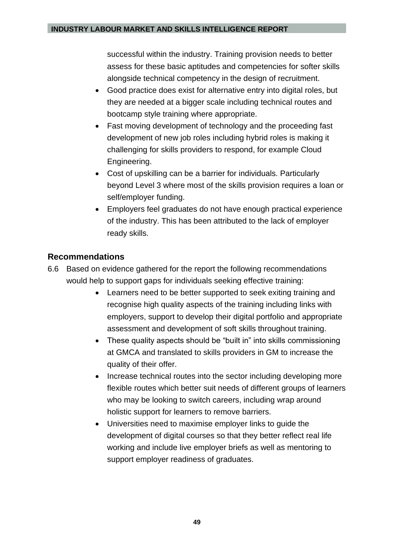successful within the industry. Training provision needs to better assess for these basic aptitudes and competencies for softer skills alongside technical competency in the design of recruitment.

- Good practice does exist for alternative entry into digital roles, but they are needed at a bigger scale including technical routes and bootcamp style training where appropriate.
- Fast moving development of technology and the proceeding fast development of new job roles including hybrid roles is making it challenging for skills providers to respond, for example Cloud Engineering.
- Cost of upskilling can be a barrier for individuals. Particularly beyond Level 3 where most of the skills provision requires a loan or self/employer funding.
- Employers feel graduates do not have enough practical experience of the industry. This has been attributed to the lack of employer ready skills.

## <span id="page-48-0"></span>**Recommendations**

- 6.6 Based on evidence gathered for the report the following recommendations would help to support gaps for individuals seeking effective training:
	- Learners need to be better supported to seek exiting training and recognise high quality aspects of the training including links with employers, support to develop their digital portfolio and appropriate assessment and development of soft skills throughout training.
	- These quality aspects should be "built in" into skills commissioning at GMCA and translated to skills providers in GM to increase the quality of their offer.
	- Increase technical routes into the sector including developing more flexible routes which better suit needs of different groups of learners who may be looking to switch careers, including wrap around holistic support for learners to remove barriers.
	- Universities need to maximise employer links to guide the development of digital courses so that they better reflect real life working and include live employer briefs as well as mentoring to support employer readiness of graduates.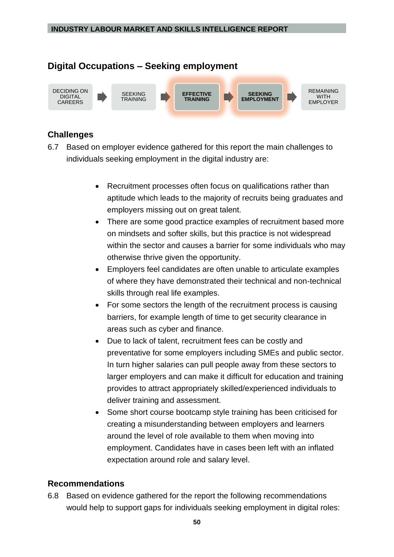## <span id="page-49-0"></span>**Digital Occupations – Seeking employment**



## <span id="page-49-1"></span>**Challenges**

- 6.7 Based on employer evidence gathered for this report the main challenges to individuals seeking employment in the digital industry are:
	- Recruitment processes often focus on qualifications rather than aptitude which leads to the majority of recruits being graduates and employers missing out on great talent.
	- There are some good practice examples of recruitment based more on mindsets and softer skills, but this practice is not widespread within the sector and causes a barrier for some individuals who may otherwise thrive given the opportunity.
	- Employers feel candidates are often unable to articulate examples of where they have demonstrated their technical and non-technical skills through real life examples.
	- For some sectors the length of the recruitment process is causing barriers, for example length of time to get security clearance in areas such as cyber and finance.
	- Due to lack of talent, recruitment fees can be costly and preventative for some employers including SMEs and public sector. In turn higher salaries can pull people away from these sectors to larger employers and can make it difficult for education and training provides to attract appropriately skilled/experienced individuals to deliver training and assessment.
	- Some short course bootcamp style training has been criticised for creating a misunderstanding between employers and learners around the level of role available to them when moving into employment. Candidates have in cases been left with an inflated expectation around role and salary level.

## <span id="page-49-2"></span>**Recommendations**

6.8 Based on evidence gathered for the report the following recommendations would help to support gaps for individuals seeking employment in digital roles: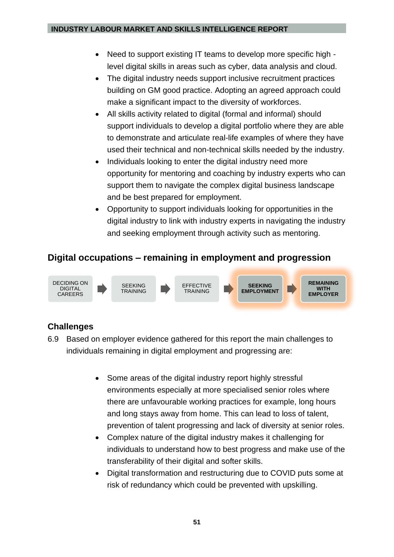- Need to support existing IT teams to develop more specific high level digital skills in areas such as cyber, data analysis and cloud.
- The digital industry needs support inclusive recruitment practices building on GM good practice. Adopting an agreed approach could make a significant impact to the diversity of workforces.
- All skills activity related to digital (formal and informal) should support individuals to develop a digital portfolio where they are able to demonstrate and articulate real-life examples of where they have used their technical and non-technical skills needed by the industry.
- Individuals looking to enter the digital industry need more opportunity for mentoring and coaching by industry experts who can support them to navigate the complex digital business landscape and be best prepared for employment.
- Opportunity to support individuals looking for opportunities in the digital industry to link with industry experts in navigating the industry and seeking employment through activity such as mentoring.

# <span id="page-50-0"></span>**Digital occupations – remaining in employment and progression**



# <span id="page-50-1"></span>**Challenges**

- 6.9 Based on employer evidence gathered for this report the main challenges to individuals remaining in digital employment and progressing are:
	- Some areas of the digital industry report highly stressful environments especially at more specialised senior roles where there are unfavourable working practices for example, long hours and long stays away from home. This can lead to loss of talent, prevention of talent progressing and lack of diversity at senior roles.
	- Complex nature of the digital industry makes it challenging for individuals to understand how to best progress and make use of the transferability of their digital and softer skills.
	- Digital transformation and restructuring due to COVID puts some at risk of redundancy which could be prevented with upskilling.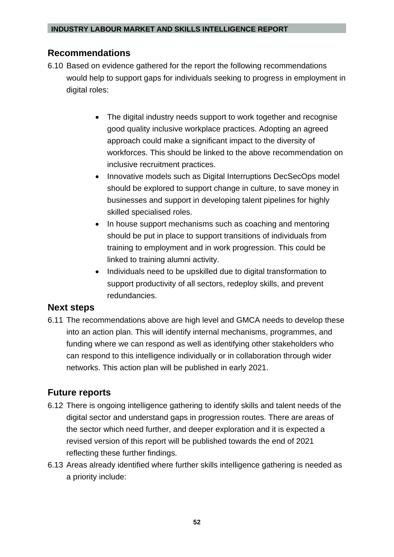## <span id="page-51-0"></span>**Recommendations**

- 6.10 Based on evidence gathered for the report the following recommendations would help to support gaps for individuals seeking to progress in employment in digital roles:
	- The digital industry needs support to work together and recognise good quality inclusive workplace practices. Adopting an agreed approach could make a significant impact to the diversity of workforces. This should be linked to the above recommendation on inclusive recruitment practices.
	- Innovative models such as Digital Interruptions DecSecOps model should be explored to support change in culture, to save money in businesses and support in developing talent pipelines for highly skilled specialised roles.
	- In house support mechanisms such as coaching and mentoring should be put in place to support transitions of individuals from training to employment and in work progression. This could be linked to training alumni activity.
	- Individuals need to be upskilled due to digital transformation to support productivity of all sectors, redeploy skills, and prevent redundancies.

## <span id="page-51-1"></span>**Next steps**

6.11 The recommendations above are high level and GMCA needs to develop these into an action plan. This will identify internal mechanisms, programmes, and funding where we can respond as well as identifying other stakeholders who can respond to this intelligence individually or in collaboration through wider networks. This action plan will be published in early 2021.

## <span id="page-51-2"></span>**Future reports**

- 6.12 There is ongoing intelligence gathering to identify skills and talent needs of the digital sector and understand gaps in progression routes. There are areas of the sector which need further, and deeper exploration and it is expected a revised version of this report will be published towards the end of 2021 reflecting these further findings.
- 6.13 Areas already identified where further skills intelligence gathering is needed as a priority include: